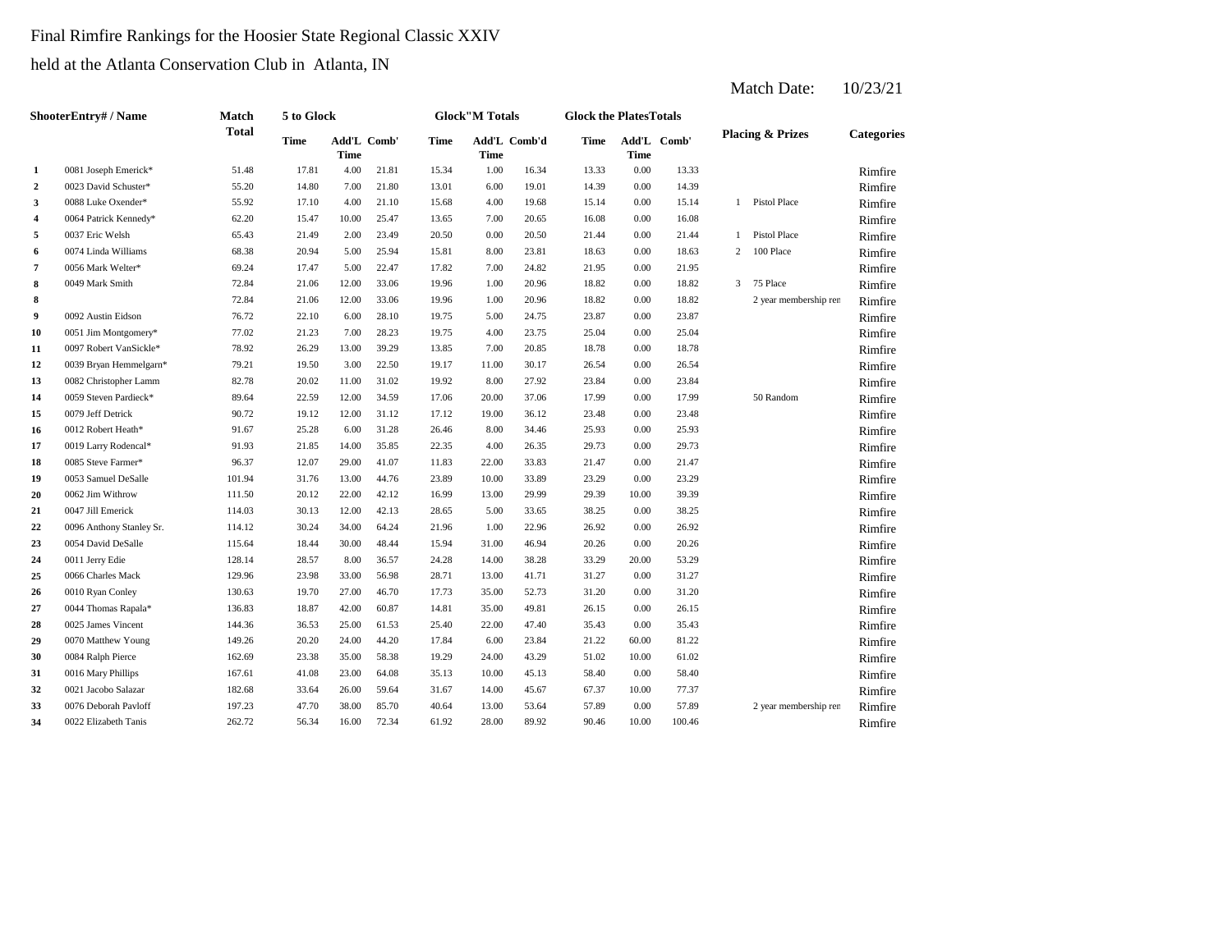# Final Rimfire Rankings for the Hoosier State Regional Classic XXIV

held at the Atlanta Conservation Club in Atlanta, IN

|                | <b>ShooterEntry#/Name</b> | <b>Match</b> | 5 to Glock  |             |             |             | <b>Glock</b> "M Totals |              | <b>Glock the Plates Totals</b> |             |             |   |                             |                   |
|----------------|---------------------------|--------------|-------------|-------------|-------------|-------------|------------------------|--------------|--------------------------------|-------------|-------------|---|-----------------------------|-------------------|
|                |                           | <b>Total</b> | <b>Time</b> | <b>Time</b> | Add'L Comb' | <b>Time</b> | <b>Time</b>            | Add'L Comb'd | <b>Time</b>                    | <b>Time</b> | Add'L Comb' |   | <b>Placing &amp; Prizes</b> | <b>Categories</b> |
| 1              | 0081 Joseph Emerick*      | 51.48        | 17.81       | 4.00        | 21.81       | 15.34       | 1.00                   | 16.34        | 13.33                          | $0.00\,$    | 13.33       |   |                             | Rimfire           |
| $\mathbf{2}$   | 0023 David Schuster*      | 55.20        | 14.80       | 7.00        | 21.80       | 13.01       | 6.00                   | 19.01        | 14.39                          | 0.00        | 14.39       |   |                             | Rimfire           |
| 3              | 0088 Luke Oxender*        | 55.92        | 17.10       | 4.00        | 21.10       | 15.68       | 4.00                   | 19.68        | 15.14                          | 0.00        | 15.14       | 1 | Pistol Place                | Rimfire           |
| 4              | 0064 Patrick Kennedy*     | 62.20        | 15.47       | 10.00       | 25.47       | 13.65       | 7.00                   | 20.65        | 16.08                          | 0.00        | 16.08       |   |                             | Rimfire           |
| $\sqrt{5}$     | 0037 Eric Welsh           | 65.43        | 21.49       | 2.00        | 23.49       | 20.50       | 0.00                   | 20.50        | 21.44                          | 0.00        | 21.44       |   | <b>Pistol Place</b>         | Rimfire           |
| 6              | 0074 Linda Williams       | 68.38        | 20.94       | 5.00        | 25.94       | 15.81       | 8.00                   | 23.81        | 18.63                          | 0.00        | 18.63       | 2 | 100 Place                   | Rimfire           |
| $\overline{7}$ | 0056 Mark Welter*         | 69.24        | 17.47       | 5.00        | 22.47       | 17.82       | 7.00                   | 24.82        | 21.95                          | 0.00        | 21.95       |   |                             | Rimfire           |
| 8              | 0049 Mark Smith           | 72.84        | 21.06       | 12.00       | 33.06       | 19.96       | 1.00                   | 20.96        | 18.82                          | 0.00        | 18.82       | 3 | 75 Place                    | Rimfire           |
| 8              |                           | 72.84        | 21.06       | 12.00       | 33.06       | 19.96       | 1.00                   | 20.96        | 18.82                          | 0.00        | 18.82       |   | 2 year membership ren       | Rimfire           |
| 9              | 0092 Austin Eidson        | 76.72        | 22.10       | 6.00        | 28.10       | 19.75       | 5.00                   | 24.75        | 23.87                          | 0.00        | 23.87       |   |                             | Rimfire           |
| 10             | 0051 Jim Montgomery*      | 77.02        | 21.23       | 7.00        | 28.23       | 19.75       | 4.00                   | 23.75        | 25.04                          | 0.00        | 25.04       |   |                             | Rimfire           |
| 11             | 0097 Robert VanSickle*    | 78.92        | 26.29       | 13.00       | 39.29       | 13.85       | 7.00                   | 20.85        | 18.78                          | 0.00        | 18.78       |   |                             | Rimfire           |
| 12             | 0039 Bryan Hemmelgarn*    | 79.21        | 19.50       | 3.00        | 22.50       | 19.17       | 11.00                  | 30.17        | 26.54                          | 0.00        | 26.54       |   |                             | Rimfire           |
| 13             | 0082 Christopher Lamm     | 82.78        | 20.02       | 11.00       | 31.02       | 19.92       | 8.00                   | 27.92        | 23.84                          | 0.00        | 23.84       |   |                             | Rimfire           |
| 14             | 0059 Steven Pardieck*     | 89.64        | 22.59       | 12.00       | 34.59       | 17.06       | 20.00                  | 37.06        | 17.99                          | 0.00        | 17.99       |   | 50 Random                   | Rimfire           |
| 15             | 0079 Jeff Detrick         | 90.72        | 19.12       | 12.00       | 31.12       | 17.12       | 19.00                  | 36.12        | 23.48                          | 0.00        | 23.48       |   |                             | Rimfire           |
| 16             | 0012 Robert Heath*        | 91.67        | 25.28       | 6.00        | 31.28       | 26.46       | 8.00                   | 34.46        | 25.93                          | 0.00        | 25.93       |   |                             | Rimfire           |
| 17             | 0019 Larry Rodencal*      | 91.93        | 21.85       | 14.00       | 35.85       | 22.35       | 4.00                   | 26.35        | 29.73                          | 0.00        | 29.73       |   |                             | Rimfire           |
| 18             | 0085 Steve Farmer*        | 96.37        | 12.07       | 29.00       | 41.07       | 11.83       | 22.00                  | 33.83        | 21.47                          | 0.00        | 21.47       |   |                             | Rimfire           |
| 19             | 0053 Samuel DeSalle       | 101.94       | 31.76       | 13.00       | 44.76       | 23.89       | 10.00                  | 33.89        | 23.29                          | 0.00        | 23.29       |   |                             | Rimfire           |
| 20             | 0062 Jim Withrow          | 111.50       | 20.12       | 22.00       | 42.12       | 16.99       | 13.00                  | 29.99        | 29.39                          | 10.00       | 39.39       |   |                             | Rimfire           |
| 21             | 0047 Jill Emerick         | 114.03       | 30.13       | 12.00       | 42.13       | 28.65       | 5.00                   | 33.65        | 38.25                          | 0.00        | 38.25       |   |                             | Rimfire           |
| 22             | 0096 Anthony Stanley Sr.  | 114.12       | 30.24       | 34.00       | 64.24       | 21.96       | 1.00                   | 22.96        | 26.92                          | 0.00        | 26.92       |   |                             | Rimfire           |
| 23             | 0054 David DeSalle        | 115.64       | 18.44       | 30.00       | 48.44       | 15.94       | 31.00                  | 46.94        | 20.26                          | 0.00        | 20.26       |   |                             | Rimfire           |
| 24             | 0011 Jerry Edie           | 128.14       | 28.57       | 8.00        | 36.57       | 24.28       | 14.00                  | 38.28        | 33.29                          | 20.00       | 53.29       |   |                             | Rimfire           |
| 25             | 0066 Charles Mack         | 129.96       | 23.98       | 33.00       | 56.98       | 28.71       | 13.00                  | 41.71        | 31.27                          | 0.00        | 31.27       |   |                             | Rimfire           |
| 26             | 0010 Ryan Conley          | 130.63       | 19.70       | 27.00       | 46.70       | 17.73       | 35.00                  | 52.73        | 31.20                          | 0.00        | 31.20       |   |                             | Rimfire           |
| 27             | 0044 Thomas Rapala*       | 136.83       | 18.87       | 42.00       | 60.87       | 14.81       | 35.00                  | 49.81        | 26.15                          | 0.00        | 26.15       |   |                             | Rimfire           |
| 28             | 0025 James Vincent        | 144.36       | 36.53       | 25.00       | 61.53       | 25.40       | 22.00                  | 47.40        | 35.43                          | 0.00        | 35.43       |   |                             | Rimfire           |
| 29             | 0070 Matthew Young        | 149.26       | 20.20       | 24.00       | 44.20       | 17.84       | 6.00                   | 23.84        | 21.22                          | 60.00       | 81.22       |   |                             | Rimfire           |
| 30             | 0084 Ralph Pierce         | 162.69       | 23.38       | 35.00       | 58.38       | 19.29       | 24.00                  | 43.29        | 51.02                          | 10.00       | 61.02       |   |                             | Rimfire           |
| 31             | 0016 Mary Phillips        | 167.61       | 41.08       | 23.00       | 64.08       | 35.13       | 10.00                  | 45.13        | 58.40                          | 0.00        | 58.40       |   |                             | Rimfire           |
| 32             | 0021 Jacobo Salazar       | 182.68       | 33.64       | 26.00       | 59.64       | 31.67       | 14.00                  | 45.67        | 67.37                          | 10.00       | 77.37       |   |                             | Rimfire           |
| 33             | 0076 Deborah Pavloff      | 197.23       | 47.70       | 38.00       | 85.70       | 40.64       | 13.00                  | 53.64        | 57.89                          | 0.00        | 57.89       |   | 2 year membership ren       | Rimfire           |
| 34             | 0022 Elizabeth Tanis      | 262.72       | 56.34       | 16.00       | 72.34       | 61.92       | 28.00                  | 89.92        | 90.46                          | 10.00       | 100.46      |   |                             | Rimfire           |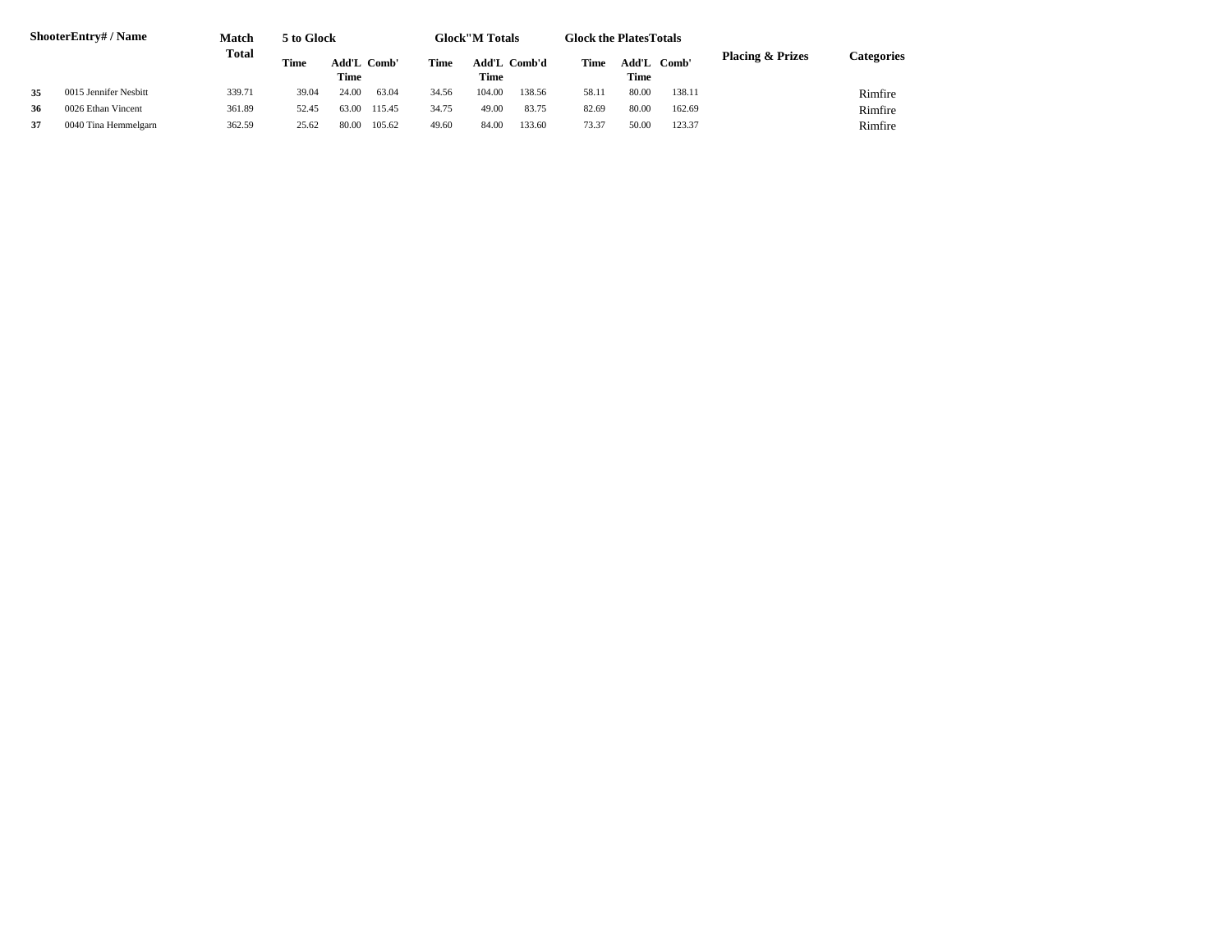|    | <b>ShooterEntry#/Name</b> | Match        | 5 to Glock  |             |        |       | <b>Glock''M Totals</b> |        | <b>Glock the Plates Totals</b> |       |        |                             |            |
|----|---------------------------|--------------|-------------|-------------|--------|-------|------------------------|--------|--------------------------------|-------|--------|-----------------------------|------------|
|    |                           | <b>Total</b> | <b>Time</b> | Add'L Comb' |        | Time  | Add'L Comb'd           |        | Time                           | Add'L | Comb'  | <b>Placing &amp; Prizes</b> | Categories |
|    |                           |              |             | Time        |        |       | <b>Time</b>            |        |                                | Time  |        |                             |            |
| 35 | 0015 Jennifer Nesbitt     | 339.71       | 39.04       | 24.00       | 63.04  | 34.56 | 104.00                 | 138.56 | 58.11                          | 80.00 | 138.11 |                             | Rimfire    |
| 36 | 0026 Ethan Vincent        | 361.89       | 52.45       | 63.00       | 115.45 | 34.75 | 49.00                  | 83.75  | 82.69                          | 80.00 | 162.69 |                             | Rimfire    |
| 37 | 0040 Tina Hemmelgarn      | 362.59       | 25.62       | 80.00       | 105.62 | 49.60 | 84.00                  | 133.60 | 73.37                          | 50.00 | 123.37 |                             | Rimfire    |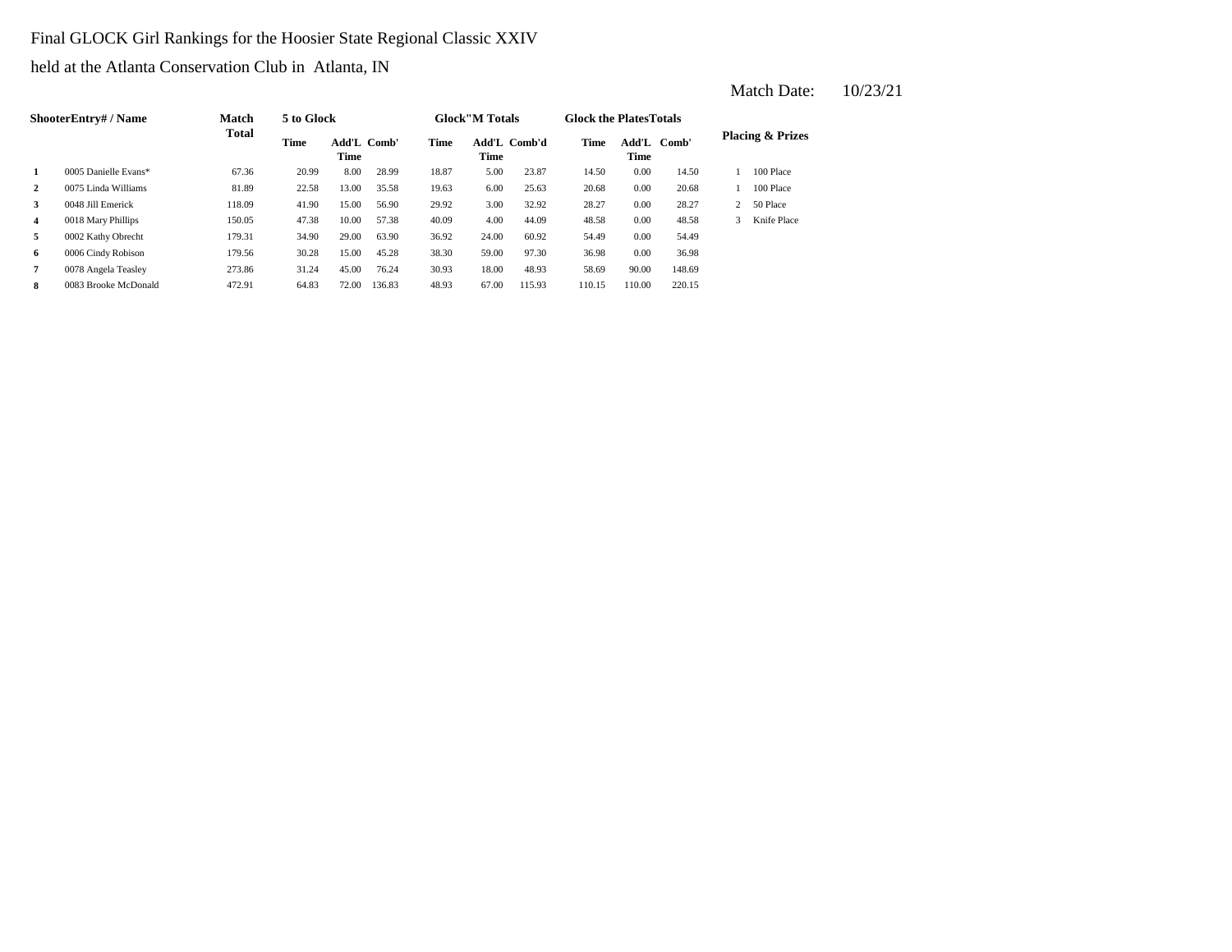# Final GLOCK Girl Rankings for the Hoosier State Regional Classic XXIV

held at the Atlanta Conservation Club in Atlanta, IN

|                | <b>ShooterEntry#/Name</b> | <b>Match</b> | 5 to Glock |                                   |        |             | <b>Glock</b> "M Totals |              | <b>Glock the Plates Totals</b> |                                  |        |   |                             |
|----------------|---------------------------|--------------|------------|-----------------------------------|--------|-------------|------------------------|--------------|--------------------------------|----------------------------------|--------|---|-----------------------------|
|                |                           | <b>Total</b> | Time       | <b>Add'L Comb'</b><br><b>Time</b> |        | <b>Time</b> | Time                   | Add'L Comb'd | <b>Time</b>                    | $\mathbf{Add}\mathbf{L}$<br>Time | Comb'  |   | <b>Placing &amp; Prizes</b> |
| 1              | 0005 Danielle Evans*      | 67.36        | 20.99      | 8.00                              | 28.99  | 18.87       | 5.00                   | 23.87        | 14.50                          | 0.00                             | 14.50  |   | 100 Place                   |
| $\overline{2}$ | 0075 Linda Williams       | 81.89        | 22.58      | 13.00                             | 35.58  | 19.63       | 6.00                   | 25.63        | 20.68                          | 0.00                             | 20.68  |   | 100 Place                   |
| 3              | 0048 Jill Emerick         | 118.09       | 41.90      | 15.00                             | 56.90  | 29.92       | 3.00                   | 32.92        | 28.27                          | 0.00                             | 28.27  |   | 50 Place                    |
| 4              | 0018 Mary Phillips        | 150.05       | 47.38      | 10.00                             | 57.38  | 40.09       | 4.00                   | 44.09        | 48.58                          | 0.00                             | 48.58  | 3 | Knife Place                 |
| 5              | 0002 Kathy Obrecht        | 179.31       | 34.90      | 29.00                             | 63.90  | 36.92       | 24.00                  | 60.92        | 54.49                          | 0.00                             | 54.49  |   |                             |
| 6              | 0006 Cindy Robison        | 179.56       | 30.28      | 15.00                             | 45.28  | 38.30       | 59.00                  | 97.30        | 36.98                          | 0.00                             | 36.98  |   |                             |
| $\overline{7}$ | 0078 Angela Teasley       | 273.86       | 31.24      | 45.00                             | 76.24  | 30.93       | 18.00                  | 48.93        | 58.69                          | 90.00                            | 148.69 |   |                             |
| 8              | 0083 Brooke McDonald      | 472.91       | 64.83      | 72.00                             | 136.83 | 48.93       | 67.00                  | 115.93       | 110.15                         | 110.00                           | 220.15 |   |                             |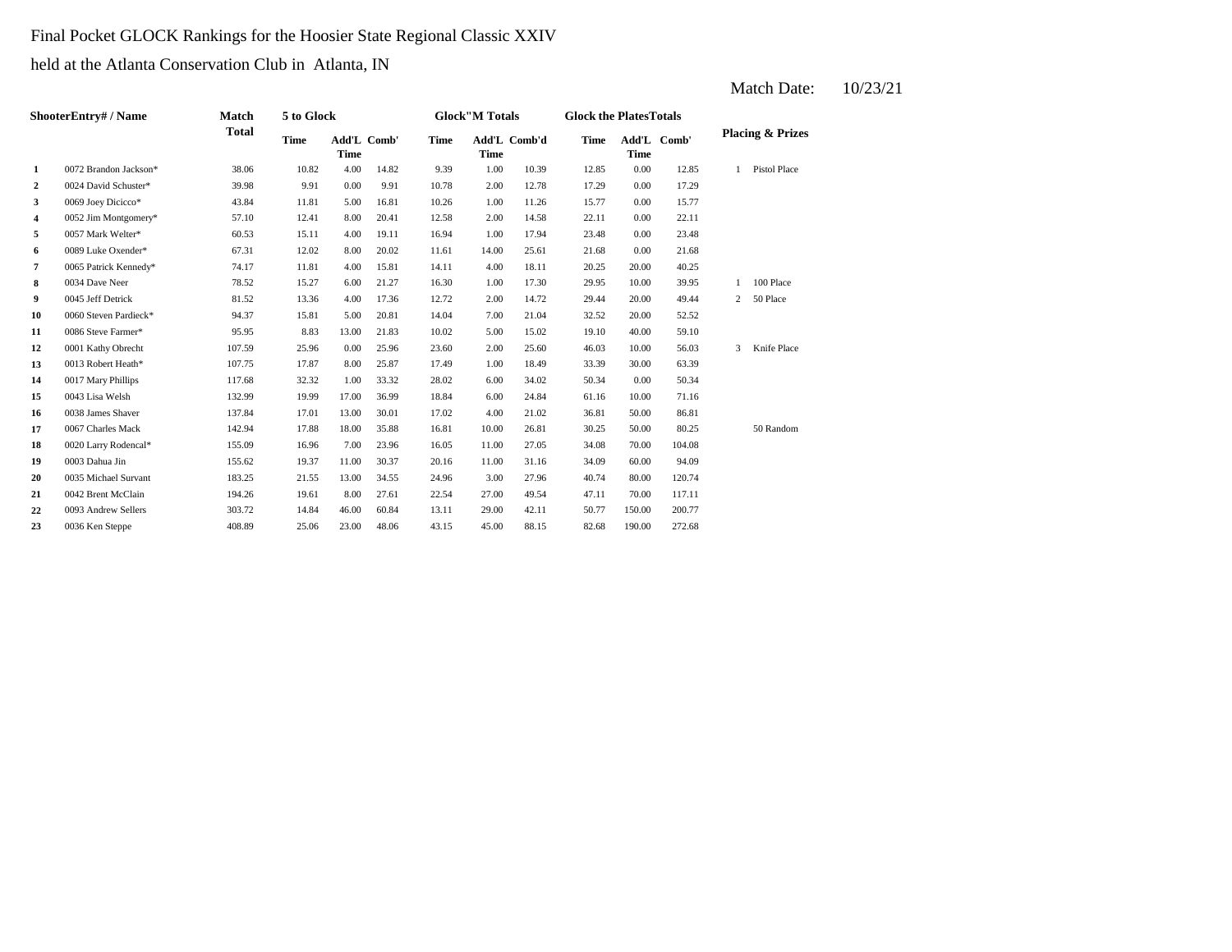## Final Pocket GLOCK Rankings for the Hoosier State Regional Classic XXIV

held at the Atlanta Conservation Club in Atlanta, IN

|                         | <b>ShooterEntry#/Name</b> | <b>Match</b> | 5 to Glock  |                            |       |             | <b>Glock</b> "M Totals |              | <b>Glock the PlatesTotals</b> |             |             |                             |
|-------------------------|---------------------------|--------------|-------------|----------------------------|-------|-------------|------------------------|--------------|-------------------------------|-------------|-------------|-----------------------------|
|                         |                           | <b>Total</b> | <b>Time</b> | Add'L Comb'<br><b>Time</b> |       | <b>Time</b> | <b>Time</b>            | Add'L Comb'd | <b>Time</b>                   | <b>Time</b> | Add'L Comb' | <b>Placing &amp; Prizes</b> |
| 1                       | 0072 Brandon Jackson*     | 38.06        | 10.82       | 4.00                       | 14.82 | 9.39        | 1.00                   | 10.39        | 12.85                         | 0.00        | 12.85       | Pistol Place                |
| $\overline{2}$          | 0024 David Schuster*      | 39.98        | 9.91        | 0.00                       | 9.91  | 10.78       | 2.00                   | 12.78        | 17.29                         | 0.00        | 17.29       |                             |
| 3                       | 0069 Joey Dicicco*        | 43.84        | 11.81       | 5.00                       | 16.81 | 10.26       | 1.00                   | 11.26        | 15.77                         | 0.00        | 15.77       |                             |
| $\overline{\mathbf{4}}$ | 0052 Jim Montgomery*      | 57.10        | 12.41       | 8.00                       | 20.41 | 12.58       | 2.00                   | 14.58        | 22.11                         | 0.00        | 22.11       |                             |
| 5                       | 0057 Mark Welter*         | 60.53        | 15.11       | 4.00                       | 19.11 | 16.94       | 1.00                   | 17.94        | 23.48                         | 0.00        | 23.48       |                             |
| 6                       | 0089 Luke Oxender*        | 67.31        | 12.02       | 8.00                       | 20.02 | 11.61       | 14.00                  | 25.61        | 21.68                         | 0.00        | 21.68       |                             |
| 7                       | 0065 Patrick Kennedy*     | 74.17        | 11.81       | 4.00                       | 15.81 | 14.11       | 4.00                   | 18.11        | 20.25                         | 20.00       | 40.25       |                             |
| 8                       | 0034 Dave Neer            | 78.52        | 15.27       | 6.00                       | 21.27 | 16.30       | 1.00                   | 17.30        | 29.95                         | 10.00       | 39.95       | 100 Place                   |
| 9                       | 0045 Jeff Detrick         | 81.52        | 13.36       | 4.00                       | 17.36 | 12.72       | 2.00                   | 14.72        | 29.44                         | 20.00       | 49.44       | 50 Place<br>2               |
| 10                      | 0060 Steven Pardieck*     | 94.37        | 15.81       | 5.00                       | 20.81 | 14.04       | 7.00                   | 21.04        | 32.52                         | 20.00       | 52.52       |                             |
| 11                      | 0086 Steve Farmer*        | 95.95        | 8.83        | 13.00                      | 21.83 | 10.02       | 5.00                   | 15.02        | 19.10                         | 40.00       | 59.10       |                             |
| 12                      | 0001 Kathy Obrecht        | 107.59       | 25.96       | 0.00                       | 25.96 | 23.60       | 2.00                   | 25.60        | 46.03                         | 10.00       | 56.03       | Knife Place<br>3            |
| 13                      | 0013 Robert Heath*        | 107.75       | 17.87       | 8.00                       | 25.87 | 17.49       | 1.00                   | 18.49        | 33.39                         | 30.00       | 63.39       |                             |
| 14                      | 0017 Mary Phillips        | 117.68       | 32.32       | 1.00                       | 33.32 | 28.02       | 6.00                   | 34.02        | 50.34                         | 0.00        | 50.34       |                             |
| 15                      | 0043 Lisa Welsh           | 132.99       | 19.99       | 17.00                      | 36.99 | 18.84       | 6.00                   | 24.84        | 61.16                         | 10.00       | 71.16       |                             |
| 16                      | 0038 James Shaver         | 137.84       | 17.01       | 13.00                      | 30.01 | 17.02       | 4.00                   | 21.02        | 36.81                         | 50.00       | 86.81       |                             |
| 17                      | 0067 Charles Mack         | 142.94       | 17.88       | 18.00                      | 35.88 | 16.81       | 10.00                  | 26.81        | 30.25                         | 50.00       | 80.25       | 50 Random                   |
| 18                      | 0020 Larry Rodencal*      | 155.09       | 16.96       | 7.00                       | 23.96 | 16.05       | 11.00                  | 27.05        | 34.08                         | 70.00       | 104.08      |                             |
| 19                      | 0003 Dahua Jin            | 155.62       | 19.37       | 11.00                      | 30.37 | 20.16       | 11.00                  | 31.16        | 34.09                         | 60.00       | 94.09       |                             |
| 20                      | 0035 Michael Survant      | 183.25       | 21.55       | 13.00                      | 34.55 | 24.96       | 3.00                   | 27.96        | 40.74                         | 80.00       | 120.74      |                             |

42.11  $50.77$  150.00 200.77

**21** 0042 Brent McClain 194.26 19.61 8.00 27.61 22.54 27.00 49.54 47.11 70.00 117.11

23 0036 Ken Steppe 408.89 25.06 23.00 48.06 43.15 45.00 88.15 82.68 190.00 272.68

**22** 0093 Andrew Sellers 303.72 14.84 46.00 60.84 13.11 29.00 42.11 50.77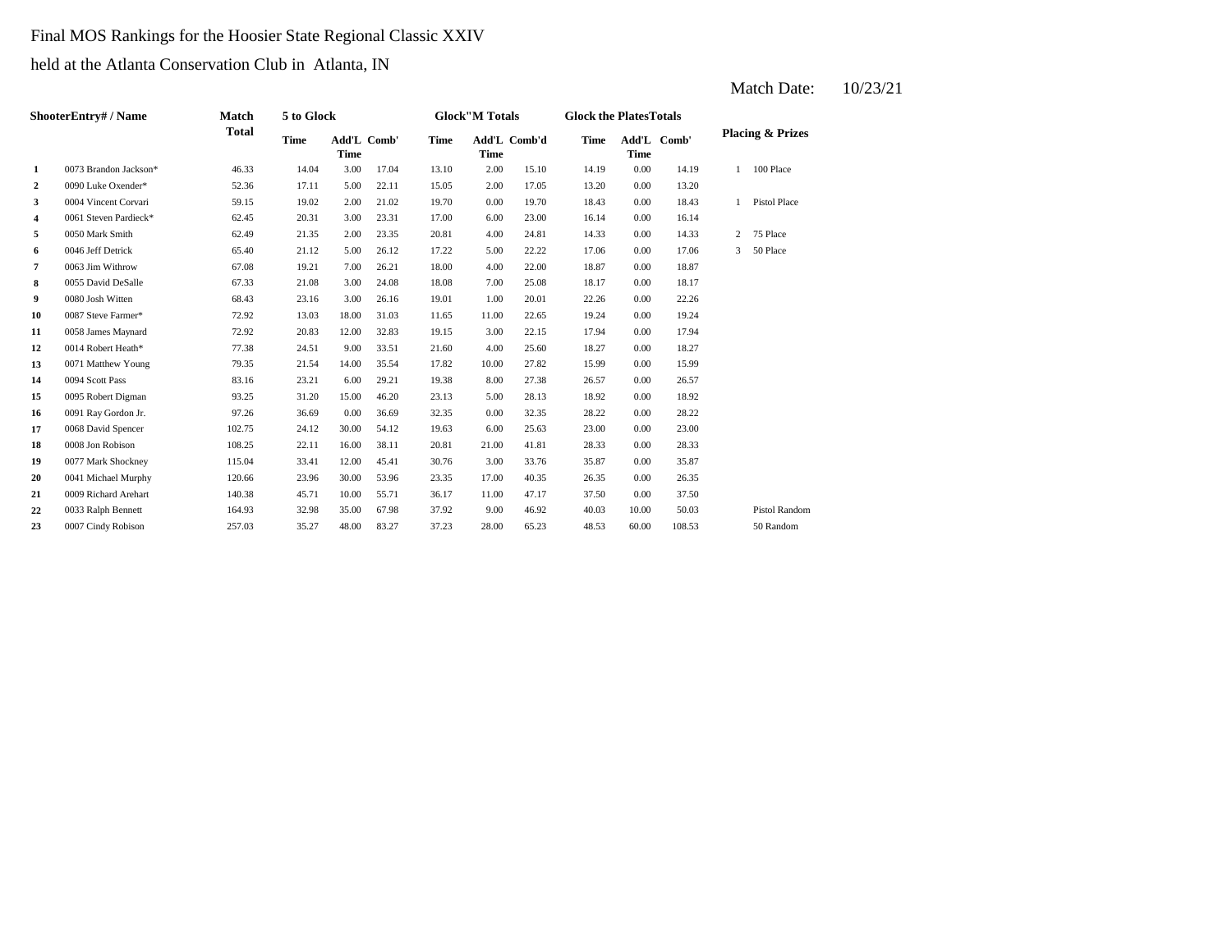## Final MOS Rankings for the Hoosier State Regional Classic XXIV

held at the Atlanta Conservation Club in Atlanta, IN

| <b>ShooterEntry#/Name</b> | Match                 | 5 to Glock   |             |                            |       | <b>Glock</b> "M Totals |             | <b>Glock the PlatesTotals</b> |             |             |             |                |                             |
|---------------------------|-----------------------|--------------|-------------|----------------------------|-------|------------------------|-------------|-------------------------------|-------------|-------------|-------------|----------------|-----------------------------|
|                           |                       | <b>Total</b> | <b>Time</b> | Add'L Comb'<br><b>Time</b> |       | <b>Time</b>            | <b>Time</b> | Add'L Comb'd                  | <b>Time</b> | <b>Time</b> | Add'L Comb' |                | <b>Placing &amp; Prizes</b> |
| 1                         | 0073 Brandon Jackson* | 46.33        | 14.04       | 3.00                       | 17.04 | 13.10                  | 2.00        | 15.10                         | 14.19       | 0.00        | 14.19       | $\mathbf{1}$   | 100 Place                   |
| $\mathbf{2}$              | 0090 Luke Oxender*    | 52.36        | 17.11       | 5.00                       | 22.11 | 15.05                  | 2.00        | 17.05                         | 13.20       | 0.00        | 13.20       |                |                             |
| 3                         | 0004 Vincent Corvari  | 59.15        | 19.02       | 2.00                       | 21.02 | 19.70                  | 0.00        | 19.70                         | 18.43       | 0.00        | 18.43       |                | Pistol Place                |
| 4                         | 0061 Steven Pardieck* | 62.45        | 20.31       | 3.00                       | 23.31 | 17.00                  | 6.00        | 23.00                         | 16.14       | 0.00        | 16.14       |                |                             |
| 5                         | 0050 Mark Smith       | 62.49        | 21.35       | 2.00                       | 23.35 | 20.81                  | 4.00        | 24.81                         | 14.33       | 0.00        | 14.33       | $\overline{2}$ | 75 Place                    |
| 6                         | 0046 Jeff Detrick     | 65.40        | 21.12       | 5.00                       | 26.12 | 17.22                  | 5.00        | 22.22                         | 17.06       | 0.00        | 17.06       | $\mathbf{3}$   | 50 Place                    |
| 7                         | 0063 Jim Withrow      | 67.08        | 19.21       | 7.00                       | 26.21 | 18.00                  | 4.00        | 22.00                         | 18.87       | 0.00        | 18.87       |                |                             |
| 8                         | 0055 David DeSalle    | 67.33        | 21.08       | 3.00                       | 24.08 | 18.08                  | 7.00        | 25.08                         | 18.17       | 0.00        | 18.17       |                |                             |
| 9                         | 0080 Josh Witten      | 68.43        | 23.16       | 3.00                       | 26.16 | 19.01                  | 1.00        | 20.01                         | 22.26       | 0.00        | 22.26       |                |                             |
| 10                        | 0087 Steve Farmer*    | 72.92        | 13.03       | 18.00                      | 31.03 | 11.65                  | 11.00       | 22.65                         | 19.24       | 0.00        | 19.24       |                |                             |
| 11                        | 0058 James Maynard    | 72.92        | 20.83       | 12.00                      | 32.83 | 19.15                  | 3.00        | 22.15                         | 17.94       | 0.00        | 17.94       |                |                             |
| 12                        | 0014 Robert Heath*    | 77.38        | 24.51       | 9.00                       | 33.51 | 21.60                  | 4.00        | 25.60                         | 18.27       | 0.00        | 18.27       |                |                             |
| 13                        | 0071 Matthew Young    | 79.35        | 21.54       | 14.00                      | 35.54 | 17.82                  | 10.00       | 27.82                         | 15.99       | 0.00        | 15.99       |                |                             |
| 14                        | 0094 Scott Pass       | 83.16        | 23.21       | 6.00                       | 29.21 | 19.38                  | 8.00        | 27.38                         | 26.57       | 0.00        | 26.57       |                |                             |
| 15                        | 0095 Robert Digman    | 93.25        | 31.20       | 15.00                      | 46.20 | 23.13                  | 5.00        | 28.13                         | 18.92       | 0.00        | 18.92       |                |                             |
| 16                        | 0091 Ray Gordon Jr.   | 97.26        | 36.69       | 0.00                       | 36.69 | 32.35                  | 0.00        | 32.35                         | 28.22       | 0.00        | 28.22       |                |                             |
| 17                        | 0068 David Spencer    | 102.75       | 24.12       | 30.00                      | 54.12 | 19.63                  | 6.00        | 25.63                         | 23.00       | 0.00        | 23.00       |                |                             |
| 18                        | 0008 Jon Robison      | 108.25       | 22.11       | 16.00                      | 38.11 | 20.81                  | 21.00       | 41.81                         | 28.33       | 0.00        | 28.33       |                |                             |
| 19                        | 0077 Mark Shockney    | 115.04       | 33.41       | 12.00                      | 45.41 | 30.76                  | 3.00        | 33.76                         | 35.87       | 0.00        | 35.87       |                |                             |
| 20                        | 0041 Michael Murphy   | 120.66       | 23.96       | 30.00                      | 53.96 | 23.35                  | 17.00       | 40.35                         | 26.35       | 0.00        | 26.35       |                |                             |
| 21                        | 0009 Richard Arehart  | 140.38       | 45.71       | 10.00                      | 55.71 | 36.17                  | 11.00       | 47.17                         | 37.50       | 0.00        | 37.50       |                |                             |
| 22                        | 0033 Ralph Bennett    | 164.93       | 32.98       | 35.00                      | 67.98 | 37.92                  | 9.00        | 46.92                         | 40.03       | 10.00       | 50.03       |                | <b>Pistol Random</b>        |
| 23                        | 0007 Cindy Robison    | 257.03       | 35.27       | 48.00                      | 83.27 | 37.23                  | 28.00       | 65.23                         | 48.53       | 60.00       | 108.53      |                | 50 Random                   |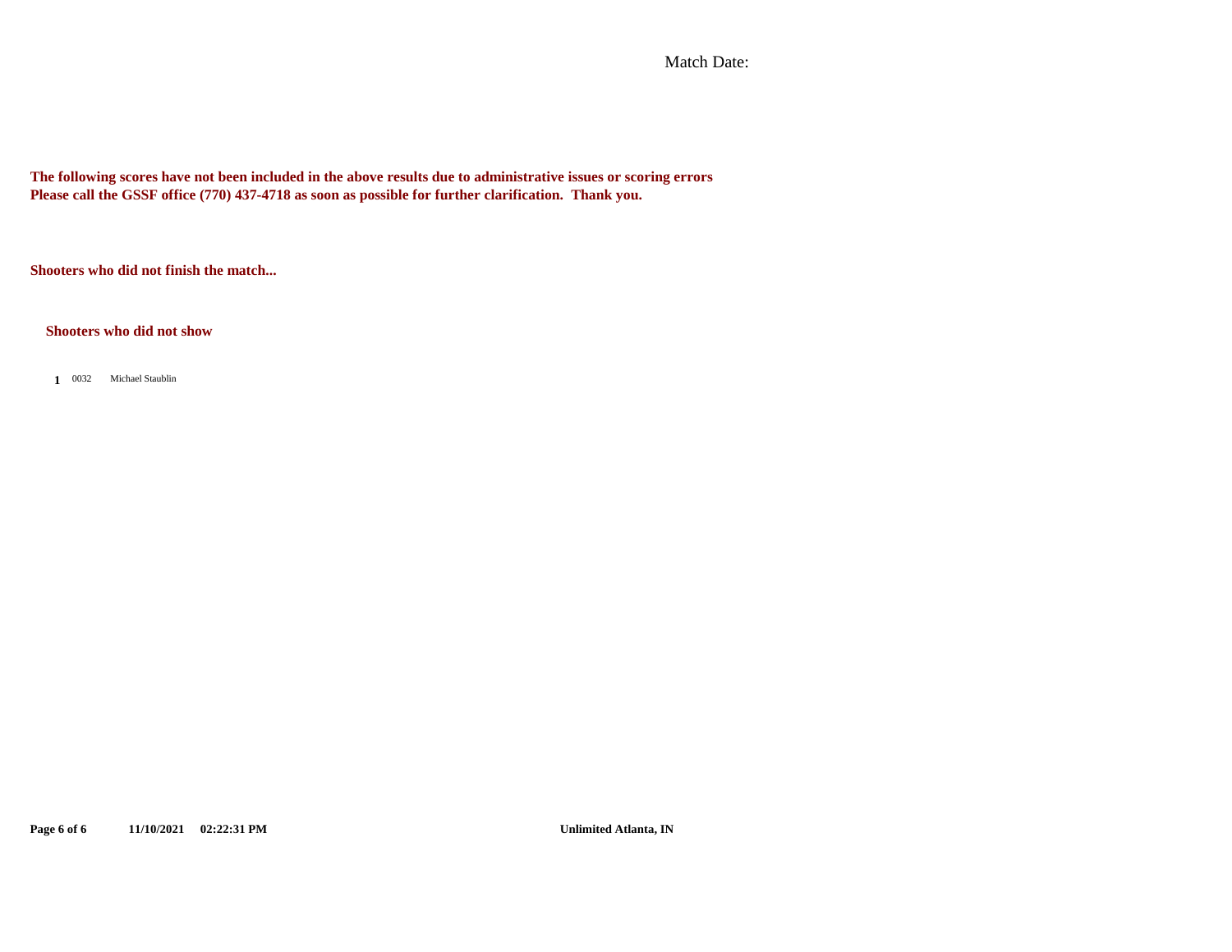Match Date:

**The following scores have not been included in the above results due to administrative issues or scoring errors Please call the GSSF office (770) 437-4718 as soon as possible for further clarification. Thank you.**

**Shooters who did not finish the match...**

**Shooters who did not show**

1 0032 Michael Staublin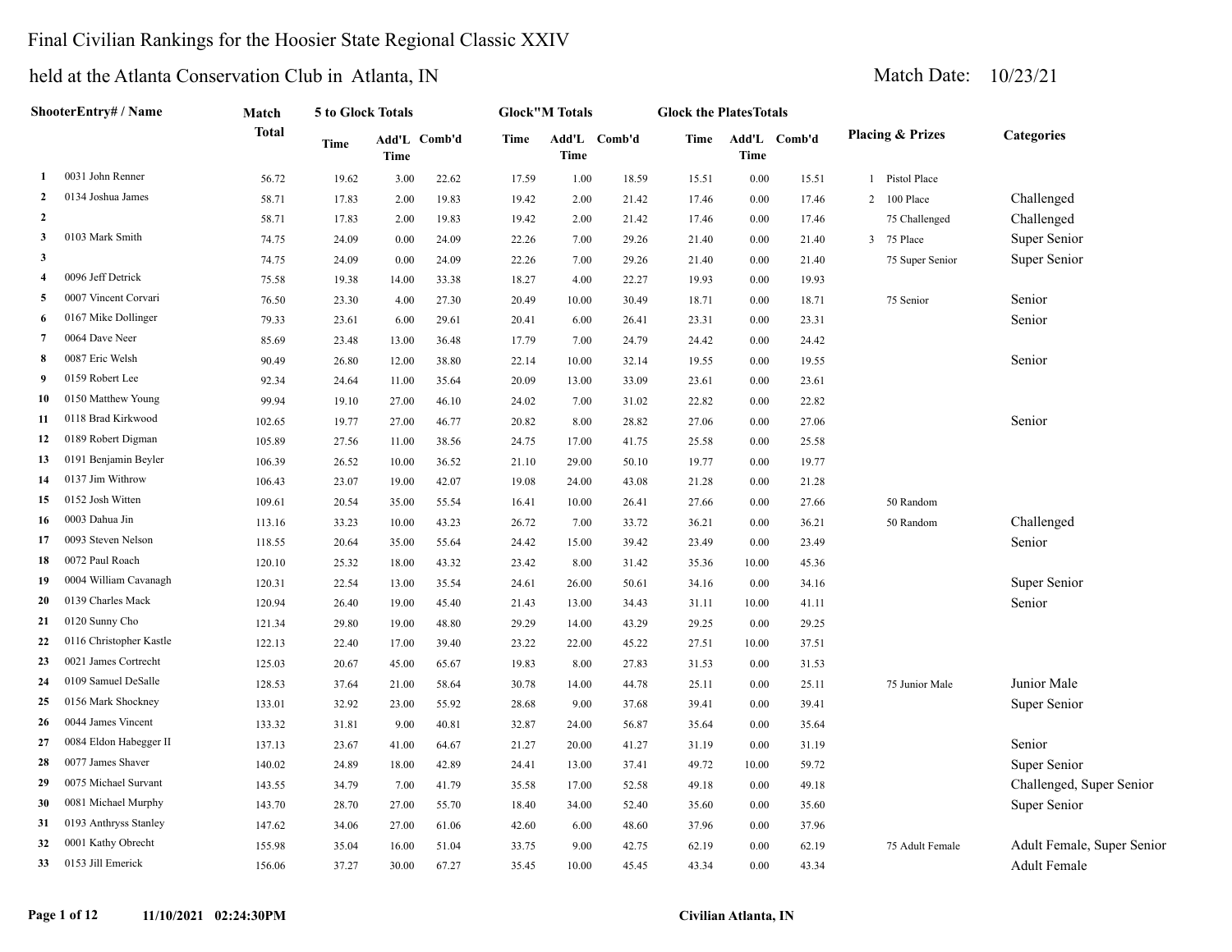### Final Civilian Rankings for the Hoosier State Regional Classic XXIV

|                         | ShooterEntry# / Name    | Match        | 5 to Glock Totals |             |              |       | <b>Glock"M Totals</b> |              | <b>Glock the PlatesTotals</b> |             |              |                |                             |                            |
|-------------------------|-------------------------|--------------|-------------------|-------------|--------------|-------|-----------------------|--------------|-------------------------------|-------------|--------------|----------------|-----------------------------|----------------------------|
|                         |                         | <b>Total</b> | <b>Time</b>       | <b>Time</b> | Add'L Comb'd | Time  | <b>Time</b>           | Add'L Comb'd | Time                          | <b>Time</b> | Add'L Comb'd |                | <b>Placing &amp; Prizes</b> | <b>Categories</b>          |
| 1                       | 0031 John Renner        | 56.72        | 19.62             | 3.00        | 22.62        | 17.59 | 1.00                  | 18.59        | 15.51                         | 0.00        | 15.51        |                | 1 Pistol Place              |                            |
| 2                       | 0134 Joshua James       | 58.71        | 17.83             | 2.00        | 19.83        | 19.42 | 2.00                  | 21.42        | 17.46                         | $0.00\,$    | 17.46        | $\overline{2}$ | 100 Place                   | Challenged                 |
| $\overline{2}$          |                         | 58.71        | 17.83             | 2.00        | 19.83        | 19.42 | 2.00                  | 21.42        | 17.46                         | 0.00        | 17.46        |                | 75 Challenged               | Challenged                 |
| 3                       | 0103 Mark Smith         | 74.75        | 24.09             | 0.00        | 24.09        | 22.26 | 7.00                  | 29.26        | 21.40                         | 0.00        | 21.40        | $\overline{3}$ | 75 Place                    | Super Senior               |
| $\overline{\mathbf{3}}$ |                         | 74.75        | 24.09             | 0.00        | 24.09        | 22.26 | 7.00                  | 29.26        | 21.40                         | 0.00        | 21.40        |                | 75 Super Senior             | Super Senior               |
| $\overline{4}$          | 0096 Jeff Detrick       | 75.58        | 19.38             | 14.00       | 33.38        | 18.27 | 4.00                  | 22.27        | 19.93                         | $0.00\,$    | 19.93        |                |                             |                            |
| 5                       | 0007 Vincent Corvari    | 76.50        | 23.30             | 4.00        | 27.30        | 20.49 | 10.00                 | 30.49        | 18.71                         | 0.00        | 18.71        |                | 75 Senior                   | Senior                     |
| -6                      | 0167 Mike Dollinger     | 79.33        | 23.61             | 6.00        | 29.61        | 20.41 | 6.00                  | 26.41        | 23.31                         | 0.00        | 23.31        |                |                             | Senior                     |
| 7                       | 0064 Dave Neer          | 85.69        | 23.48             | 13.00       | 36.48        | 17.79 | 7.00                  | 24.79        | 24.42                         | 0.00        | 24.42        |                |                             |                            |
| 8                       | 0087 Eric Welsh         | 90.49        | 26.80             | 12.00       | 38.80        | 22.14 | 10.00                 | 32.14        | 19.55                         | 0.00        | 19.55        |                |                             | Senior                     |
| - 9                     | 0159 Robert Lee         | 92.34        | 24.64             | 11.00       | 35.64        | 20.09 | 13.00                 | 33.09        | 23.61                         | 0.00        | 23.61        |                |                             |                            |
| 10                      | 0150 Matthew Young      | 99.94        | 19.10             | 27.00       | 46.10        | 24.02 | 7.00                  | 31.02        | 22.82                         | 0.00        | 22.82        |                |                             |                            |
| 11                      | 0118 Brad Kirkwood      | 102.65       | 19.77             | 27.00       | 46.77        | 20.82 | 8.00                  | 28.82        | 27.06                         | $0.00\,$    | 27.06        |                |                             | Senior                     |
| 12                      | 0189 Robert Digman      | 105.89       | 27.56             | 11.00       | 38.56        | 24.75 | 17.00                 | 41.75        | 25.58                         | 0.00        | 25.58        |                |                             |                            |
| 13                      | 0191 Benjamin Beyler    | 106.39       | 26.52             | 10.00       | 36.52        | 21.10 | 29.00                 | 50.10        | 19.77                         | 0.00        | 19.77        |                |                             |                            |
| 14                      | 0137 Jim Withrow        | 106.43       | 23.07             | 19.00       | 42.07        | 19.08 | 24.00                 | 43.08        | 21.28                         | $0.00\,$    | 21.28        |                |                             |                            |
| 15                      | 0152 Josh Witten        | 109.61       | 20.54             | 35.00       | 55.54        | 16.41 | 10.00                 | 26.41        | 27.66                         | 0.00        | 27.66        |                | 50 Random                   |                            |
| 16                      | 0003 Dahua Jin          | 113.16       | 33.23             | 10.00       | 43.23        | 26.72 | 7.00                  | 33.72        | 36.21                         | 0.00        | 36.21        |                | 50 Random                   | Challenged                 |
| 17                      | 0093 Steven Nelson      | 118.55       | 20.64             | 35.00       | 55.64        | 24.42 | 15.00                 | 39.42        | 23.49                         | 0.00        | 23.49        |                |                             | Senior                     |
| 18                      | 0072 Paul Roach         | 120.10       | 25.32             | 18.00       | 43.32        | 23.42 | 8.00                  | 31.42        | 35.36                         | 10.00       | 45.36        |                |                             |                            |
| 19                      | 0004 William Cavanagh   | 120.31       | 22.54             | 13.00       | 35.54        | 24.61 | 26.00                 | 50.61        | 34.16                         | 0.00        | 34.16        |                |                             | Super Senior               |
| 20                      | 0139 Charles Mack       | 120.94       | 26.40             | 19.00       | 45.40        | 21.43 | 13.00                 | 34.43        | 31.11                         | 10.00       | 41.11        |                |                             | Senior                     |
| 21                      | 0120 Sunny Cho          | 121.34       | 29.80             | 19.00       | 48.80        | 29.29 | 14.00                 | 43.29        | 29.25                         | 0.00        | 29.25        |                |                             |                            |
| 22                      | 0116 Christopher Kastle | 122.13       | 22.40             | 17.00       | 39.40        | 23.22 | 22.00                 | 45.22        | 27.51                         | 10.00       | 37.51        |                |                             |                            |
| 23                      | 0021 James Cortrecht    | 125.03       | 20.67             | 45.00       | 65.67        | 19.83 | 8.00                  | 27.83        | 31.53                         | 0.00        | 31.53        |                |                             |                            |
| 24                      | 0109 Samuel DeSalle     | 128.53       | 37.64             | 21.00       | 58.64        | 30.78 | 14.00                 | 44.78        | 25.11                         | $0.00\,$    | 25.11        |                | 75 Junior Male              | Junior Male                |
| 25                      | 0156 Mark Shockney      | 133.01       | 32.92             | 23.00       | 55.92        | 28.68 | 9.00                  | 37.68        | 39.41                         | 0.00        | 39.41        |                |                             | Super Senior               |
| 26                      | 0044 James Vincent      | 133.32       | 31.81             | 9.00        | 40.81        | 32.87 | 24.00                 | 56.87        | 35.64                         | 0.00        | 35.64        |                |                             |                            |
| 27                      | 0084 Eldon Habegger II  | 137.13       | 23.67             | 41.00       | 64.67        | 21.27 | 20.00                 | 41.27        | 31.19                         | 0.00        | 31.19        |                |                             | Senior                     |
| 28                      | 0077 James Shaver       | 140.02       | 24.89             | 18.00       | 42.89        | 24.41 | 13.00                 | 37.41        | 49.72                         | 10.00       | 59.72        |                |                             | Super Senior               |
| 29                      | 0075 Michael Survant    | 143.55       | 34.79             | 7.00        | 41.79        | 35.58 | 17.00                 | 52.58        | 49.18                         | $0.00\,$    | 49.18        |                |                             | Challenged, Super Senior   |
| 30                      | 0081 Michael Murphy     | 143.70       | 28.70             | 27.00       | 55.70        | 18.40 | 34.00                 | 52.40        | 35.60                         | $0.00\,$    | 35.60        |                |                             | Super Senior               |
| 31                      | 0193 Anthryss Stanley   | 147.62       | 34.06             | 27.00       | 61.06        | 42.60 | 6.00                  | 48.60        | 37.96                         | 0.00        | 37.96        |                |                             |                            |
| 32                      | 0001 Kathy Obrecht      | 155.98       | 35.04             | 16.00       | 51.04        | 33.75 | 9.00                  | 42.75        | 62.19                         | 0.00        | 62.19        |                | 75 Adult Female             | Adult Female, Super Senior |
| 33                      | 0153 Jill Emerick       | 156.06       | 37.27             | 30.00       | 67.27        | 35.45 | 10.00                 | 45.45        | 43.34                         | 0.00        | 43.34        |                |                             | Adult Female               |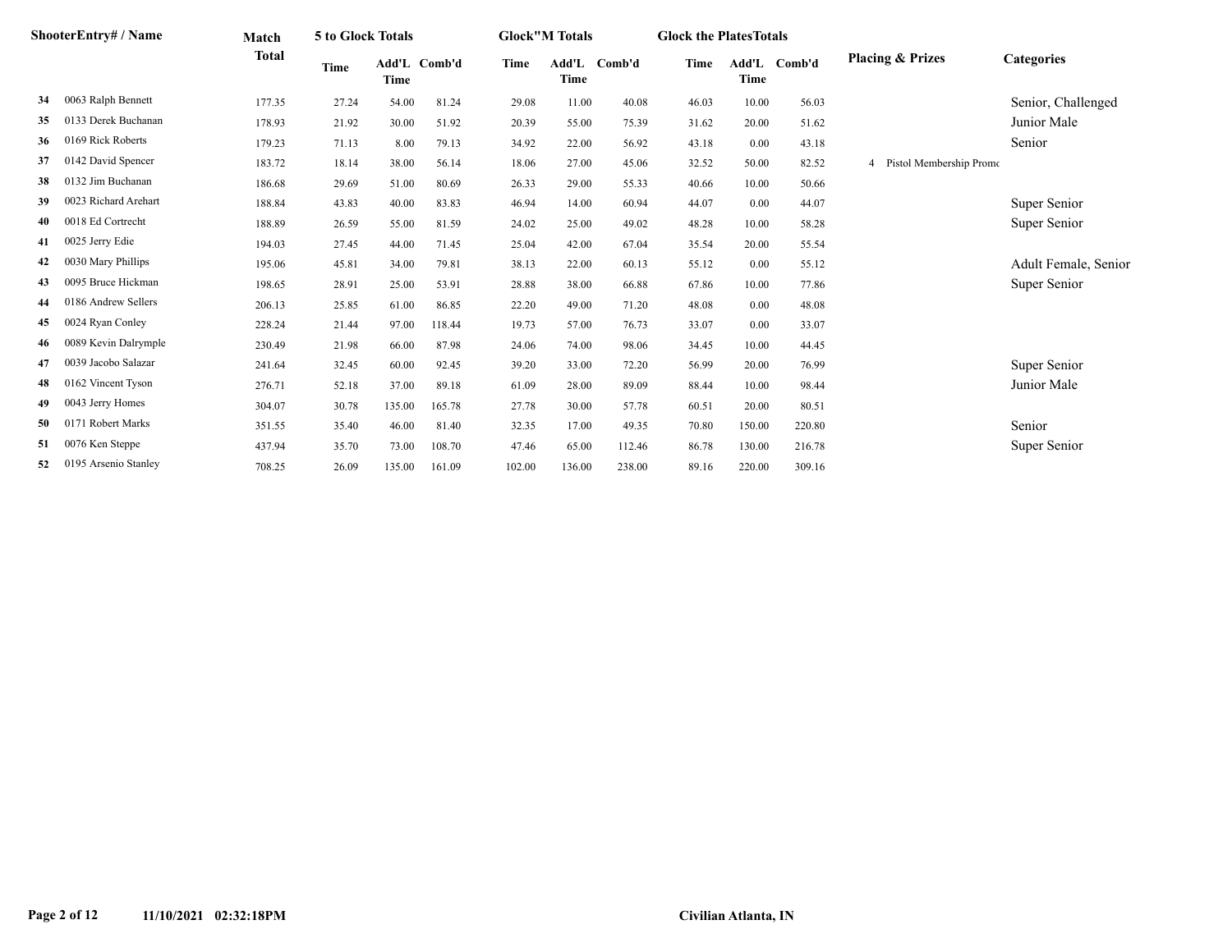|     | ShooterEntry# / Name | Match        | 5 to Glock Totals |        |              |        | <b>Glock"M Totals</b> |        | <b>Glock the PlatesTotals</b> |        |              |                             |                      |
|-----|----------------------|--------------|-------------------|--------|--------------|--------|-----------------------|--------|-------------------------------|--------|--------------|-----------------------------|----------------------|
|     |                      | <b>Total</b> | <b>Time</b>       | Time   | Add'L Comb'd | Time   | Add'L<br>Time         | Comb'd | Time                          | Time   | Add'L Comb'd | <b>Placing &amp; Prizes</b> | Categories           |
| 34  | 0063 Ralph Bennett   | 177.35       | 27.24             | 54.00  | 81.24        | 29.08  | 11.00                 | 40.08  | 46.03                         | 10.00  | 56.03        |                             | Senior, Challenged   |
| 35  | 0133 Derek Buchanan  | 178.93       | 21.92             | 30.00  | 51.92        | 20.39  | 55.00                 | 75.39  | 31.62                         | 20.00  | 51.62        |                             | Junior Male          |
| 36  | 0169 Rick Roberts    | 179.23       | 71.13             | 8.00   | 79.13        | 34.92  | 22.00                 | 56.92  | 43.18                         | 0.00   | 43.18        |                             | Senior               |
| 37  | 0142 David Spencer   | 183.72       | 18.14             | 38.00  | 56.14        | 18.06  | 27.00                 | 45.06  | 32.52                         | 50.00  | 82.52        | 4 Pistol Membership Promo   |                      |
| 38  | 0132 Jim Buchanan    | 186.68       | 29.69             | 51.00  | 80.69        | 26.33  | 29.00                 | 55.33  | 40.66                         | 10.00  | 50.66        |                             |                      |
| 39  | 0023 Richard Arehart | 188.84       | 43.83             | 40.00  | 83.83        | 46.94  | 14.00                 | 60.94  | 44.07                         | 0.00   | 44.07        |                             | Super Senior         |
| 40  | 0018 Ed Cortrecht    | 188.89       | 26.59             | 55.00  | 81.59        | 24.02  | 25.00                 | 49.02  | 48.28                         | 10.00  | 58.28        |                             | Super Senior         |
| 41  | 0025 Jerry Edie      | 194.03       | 27.45             | 44.00  | 71.45        | 25.04  | 42.00                 | 67.04  | 35.54                         | 20.00  | 55.54        |                             |                      |
| 42  | 0030 Mary Phillips   | 195.06       | 45.81             | 34.00  | 79.81        | 38.13  | 22.00                 | 60.13  | 55.12                         | 0.00   | 55.12        |                             | Adult Female, Senior |
| 43  | 0095 Bruce Hickman   | 198.65       | 28.91             | 25.00  | 53.91        | 28.88  | 38.00                 | 66.88  | 67.86                         | 10.00  | 77.86        |                             | Super Senior         |
| 44  | 0186 Andrew Sellers  | 206.13       | 25.85             | 61.00  | 86.85        | 22.20  | 49.00                 | 71.20  | 48.08                         | 0.00   | 48.08        |                             |                      |
| 45  | 0024 Ryan Conley     | 228.24       | 21.44             | 97.00  | 118.44       | 19.73  | 57.00                 | 76.73  | 33.07                         | 0.00   | 33.07        |                             |                      |
| -46 | 0089 Kevin Dalrymple | 230.49       | 21.98             | 66.00  | 87.98        | 24.06  | 74.00                 | 98.06  | 34.45                         | 10.00  | 44.45        |                             |                      |
| 47  | 0039 Jacobo Salazar  | 241.64       | 32.45             | 60.00  | 92.45        | 39.20  | 33.00                 | 72.20  | 56.99                         | 20.00  | 76.99        |                             | Super Senior         |
| 48  | 0162 Vincent Tyson   | 276.71       | 52.18             | 37.00  | 89.18        | 61.09  | 28.00                 | 89.09  | 88.44                         | 10.00  | 98.44        |                             | Junior Male          |
| 49  | 0043 Jerry Homes     | 304.07       | 30.78             | 135.00 | 165.78       | 27.78  | 30.00                 | 57.78  | 60.51                         | 20.00  | 80.51        |                             |                      |
| 50  | 0171 Robert Marks    | 351.55       | 35.40             | 46.00  | 81.40        | 32.35  | 17.00                 | 49.35  | 70.80                         | 150.00 | 220.80       |                             | Senior               |
| 51  | 0076 Ken Steppe      | 437.94       | 35.70             | 73.00  | 108.70       | 47.46  | 65.00                 | 112.46 | 86.78                         | 130.00 | 216.78       |                             | Super Senior         |
| 52  | 0195 Arsenio Stanley | 708.25       | 26.09             | 135.00 | 161.09       | 102.00 | 136.00                | 238.00 | 89.16                         | 220.00 | 309.16       |                             |                      |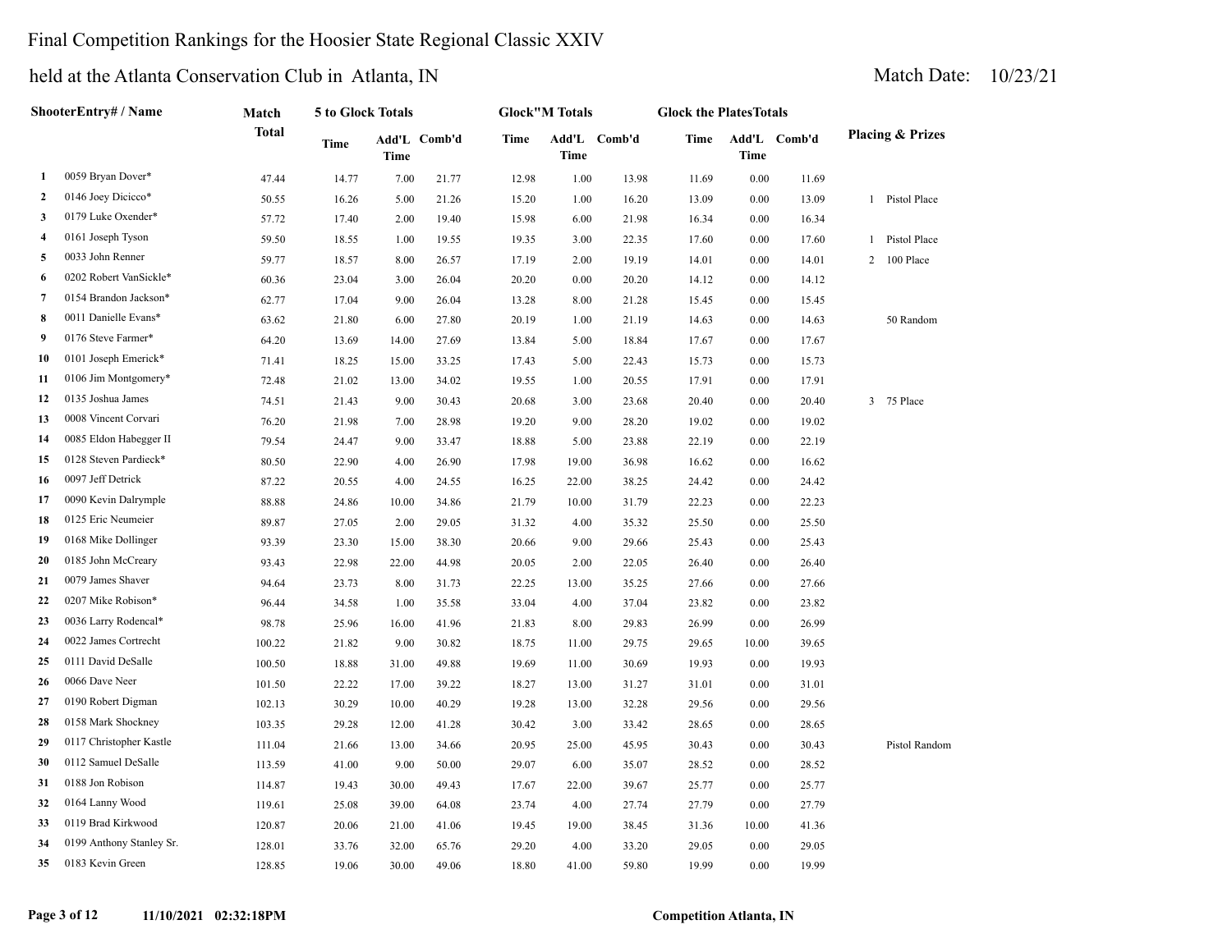### Final Competition Rankings for the Hoosier State Regional Classic XXIV

|    | ShooterEntry# / Name     | Match        | 5 to Glock Totals |       |              |       | <b>Glock"M Totals</b> |              | <b>Glock the PlatesTotals</b> |          |              |                             |
|----|--------------------------|--------------|-------------------|-------|--------------|-------|-----------------------|--------------|-------------------------------|----------|--------------|-----------------------------|
|    |                          | <b>Total</b> | Time              | Time  | Add'L Comb'd | Time  | <b>Time</b>           | Add'L Comb'd | Time                          | Time     | Add'L Comb'd | <b>Placing &amp; Prizes</b> |
| 1  | 0059 Bryan Dover*        | 47.44        | 14.77             | 7.00  | 21.77        | 12.98 | 1.00                  | 13.98        | 11.69                         | 0.00     | 11.69        |                             |
| 2  | 0146 Joey Dicicco*       | 50.55        | 16.26             | 5.00  | 21.26        | 15.20 | 1.00                  | 16.20        | 13.09                         | 0.00     | 13.09        | 1 Pistol Place              |
| 3  | 0179 Luke Oxender*       | 57.72        | 17.40             | 2.00  | 19.40        | 15.98 | 6.00                  | 21.98        | 16.34                         | 0.00     | 16.34        |                             |
| 4  | 0161 Joseph Tyson        | 59.50        | 18.55             | 1.00  | 19.55        | 19.35 | 3.00                  | 22.35        | 17.60                         | 0.00     | 17.60        | Pistol Place<br>$1\,$       |
| 5  | 0033 John Renner         | 59.77        | 18.57             | 8.00  | 26.57        | 17.19 | 2.00                  | 19.19        | 14.01                         | 0.00     | 14.01        | 2 100 Place                 |
| 6  | 0202 Robert VanSickle*   | 60.36        | 23.04             | 3.00  | 26.04        | 20.20 | $0.00\,$              | 20.20        | 14.12                         | $0.00\,$ | 14.12        |                             |
| 7  | 0154 Brandon Jackson*    | 62.77        | 17.04             | 9.00  | 26.04        | 13.28 | 8.00                  | 21.28        | 15.45                         | 0.00     | 15.45        |                             |
| 8  | 0011 Danielle Evans*     | 63.62        | 21.80             | 6.00  | 27.80        | 20.19 | 1.00                  | 21.19        | 14.63                         | 0.00     | 14.63        | 50 Random                   |
| 9  | 0176 Steve Farmer*       | 64.20        | 13.69             | 14.00 | 27.69        | 13.84 | 5.00                  | 18.84        | 17.67                         | 0.00     | 17.67        |                             |
| 10 | 0101 Joseph Emerick*     | 71.41        | 18.25             | 15.00 | 33.25        | 17.43 | 5.00                  | 22.43        | 15.73                         | 0.00     | 15.73        |                             |
| 11 | 0106 Jim Montgomery*     | 72.48        | 21.02             | 13.00 | 34.02        | 19.55 | 1.00                  | 20.55        | 17.91                         | 0.00     | 17.91        |                             |
| 12 | 0135 Joshua James        | 74.51        | 21.43             | 9.00  | 30.43        | 20.68 | 3.00                  | 23.68        | 20.40                         | 0.00     | 20.40        | 75 Place<br>$\mathbf{3}$    |
| 13 | 0008 Vincent Corvari     | 76.20        | 21.98             | 7.00  | 28.98        | 19.20 | 9.00                  | 28.20        | 19.02                         | 0.00     | 19.02        |                             |
| 14 | 0085 Eldon Habegger II   | 79.54        | 24.47             | 9.00  | 33.47        | 18.88 | 5.00                  | 23.88        | 22.19                         | 0.00     | 22.19        |                             |
| 15 | 0128 Steven Pardieck*    | 80.50        | 22.90             | 4.00  | 26.90        | 17.98 | 19.00                 | 36.98        | 16.62                         | 0.00     | 16.62        |                             |
| 16 | 0097 Jeff Detrick        | 87.22        | 20.55             | 4.00  | 24.55        | 16.25 | 22.00                 | 38.25        | 24.42                         | 0.00     | 24.42        |                             |
| 17 | 0090 Kevin Dalrymple     | 88.88        | 24.86             | 10.00 | 34.86        | 21.79 | 10.00                 | 31.79        | 22.23                         | 0.00     | 22.23        |                             |
| 18 | 0125 Eric Neumeier       | 89.87        | 27.05             | 2.00  | 29.05        | 31.32 | 4.00                  | 35.32        | 25.50                         | 0.00     | 25.50        |                             |
| 19 | 0168 Mike Dollinger      | 93.39        | 23.30             | 15.00 | 38.30        | 20.66 | 9.00                  | 29.66        | 25.43                         | 0.00     | 25.43        |                             |
| 20 | 0185 John McCreary       | 93.43        | 22.98             | 22.00 | 44.98        | 20.05 | 2.00                  | 22.05        | 26.40                         | 0.00     | 26.40        |                             |
| 21 | 0079 James Shaver        | 94.64        | 23.73             | 8.00  | 31.73        | 22.25 | 13.00                 | 35.25        | 27.66                         | 0.00     | 27.66        |                             |
| 22 | 0207 Mike Robison*       | 96.44        | 34.58             | 1.00  | 35.58        | 33.04 | 4.00                  | 37.04        | 23.82                         | 0.00     | 23.82        |                             |
| 23 | 0036 Larry Rodencal*     | 98.78        | 25.96             | 16.00 | 41.96        | 21.83 | 8.00                  | 29.83        | 26.99                         | 0.00     | 26.99        |                             |
| 24 | 0022 James Cortrecht     | 100.22       | 21.82             | 9.00  | 30.82        | 18.75 | 11.00                 | 29.75        | 29.65                         | 10.00    | 39.65        |                             |
| 25 | 0111 David DeSalle       | 100.50       | 18.88             | 31.00 | 49.88        | 19.69 | 11.00                 | 30.69        | 19.93                         | 0.00     | 19.93        |                             |
| 26 | 0066 Dave Neer           | 101.50       | 22.22             | 17.00 | 39.22        | 18.27 | 13.00                 | 31.27        | 31.01                         | 0.00     | 31.01        |                             |
| 27 | 0190 Robert Digman       | 102.13       | 30.29             | 10.00 | 40.29        | 19.28 | 13.00                 | 32.28        | 29.56                         | 0.00     | 29.56        |                             |
| 28 | 0158 Mark Shockney       | 103.35       | 29.28             | 12.00 | 41.28        | 30.42 | 3.00                  | 33.42        | 28.65                         | 0.00     | 28.65        |                             |
| 29 | 0117 Christopher Kastle  | 111.04       | 21.66             | 13.00 | 34.66        | 20.95 | 25.00                 | 45.95        | 30.43                         | 0.00     | 30.43        | Pistol Random               |
| 30 | 0112 Samuel DeSalle      | 113.59       | 41.00             | 9.00  | 50.00        | 29.07 | 6.00                  | 35.07        | 28.52                         | $0.00\,$ | 28.52        |                             |
| 31 | 0188 Jon Robison         | 114.87       | 19.43             | 30.00 | 49.43        | 17.67 | 22.00                 | 39.67        | 25.77                         | 0.00     | 25.77        |                             |
| 32 | 0164 Lanny Wood          | 119.61       | 25.08             | 39.00 | 64.08        | 23.74 | 4.00                  | 27.74        | 27.79                         | 0.00     | 27.79        |                             |
| 33 | 0119 Brad Kirkwood       | 120.87       | 20.06             | 21.00 | 41.06        | 19.45 | 19.00                 | 38.45        | 31.36                         | 10.00    | 41.36        |                             |
| 34 | 0199 Anthony Stanley Sr. | 128.01       | 33.76             | 32.00 | 65.76        | 29.20 | 4.00                  | 33.20        | 29.05                         | 0.00     | 29.05        |                             |
| 35 | 0183 Kevin Green         | 128.85       | 19.06             | 30.00 | 49.06        | 18.80 | 41.00                 | 59.80        | 19.99                         | 0.00     | 19.99        |                             |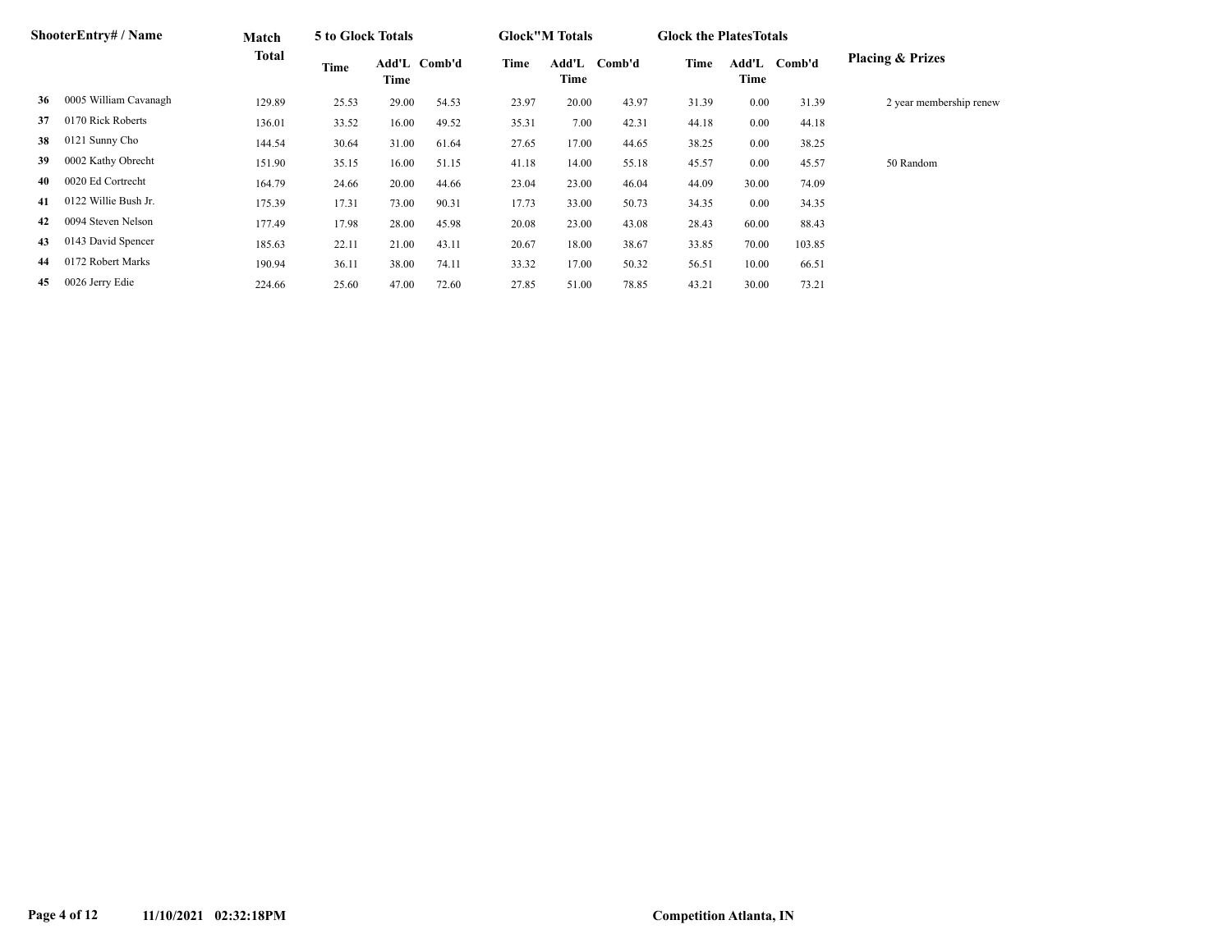|    | <b>ShooterEntry#/Name</b> | Match  | 5 to Glock Totals |                      |       |       | <b>Glock</b> "M Totals |        | <b>Glock the Plates Totals</b> |       |              |                             |
|----|---------------------------|--------|-------------------|----------------------|-------|-------|------------------------|--------|--------------------------------|-------|--------------|-----------------------------|
|    |                           | Total  | Time              | Add'L Comb'd<br>Time |       | Time  | Add'L<br>Time          | Comb'd | Time                           | Time  | Add'L Comb'd | <b>Placing &amp; Prizes</b> |
| 36 | 0005 William Cavanagh     | 129.89 | 25.53             | 29.00                | 54.53 | 23.97 | 20.00                  | 43.97  | 31.39                          | 0.00  | 31.39        | 2 year membership renew     |
| 37 | 0170 Rick Roberts         | 136.01 | 33.52             | 16.00                | 49.52 | 35.31 | 7.00                   | 42.31  | 44.18                          | 0.00  | 44.18        |                             |
| 38 | 0121 Sunny Cho            | 144.54 | 30.64             | 31.00                | 61.64 | 27.65 | 17.00                  | 44.65  | 38.25                          | 0.00  | 38.25        |                             |
| 39 | 0002 Kathy Obrecht        | 151.90 | 35.15             | 16.00                | 51.15 | 41.18 | 14.00                  | 55.18  | 45.57                          | 0.00  | 45.57        | 50 Random                   |
| 40 | 0020 Ed Cortrecht         | 164.79 | 24.66             | 20.00                | 44.66 | 23.04 | 23.00                  | 46.04  | 44.09                          | 30.00 | 74.09        |                             |
| 41 | 0122 Willie Bush Jr.      | 175.39 | 17.31             | 73.00                | 90.31 | 17.73 | 33.00                  | 50.73  | 34.35                          | 0.00  | 34.35        |                             |
| 42 | 0094 Steven Nelson        | 177.49 | 17.98             | 28.00                | 45.98 | 20.08 | 23.00                  | 43.08  | 28.43                          | 60.00 | 88.43        |                             |
| 43 | 0143 David Spencer        | 185.63 | 22.11             | 21.00                | 43.11 | 20.67 | 18.00                  | 38.67  | 33.85                          | 70.00 | 103.85       |                             |
| 44 | 0172 Robert Marks         | 190.94 | 36.11             | 38.00                | 74.11 | 33.32 | 17.00                  | 50.32  | 56.51                          | 10.00 | 66.51        |                             |
| 45 | 0026 Jerry Edie           | 224.66 | 25.60             | 47.00                | 72.60 | 27.85 | 51.00                  | 78.85  | 43.21                          | 30.00 | 73.21        |                             |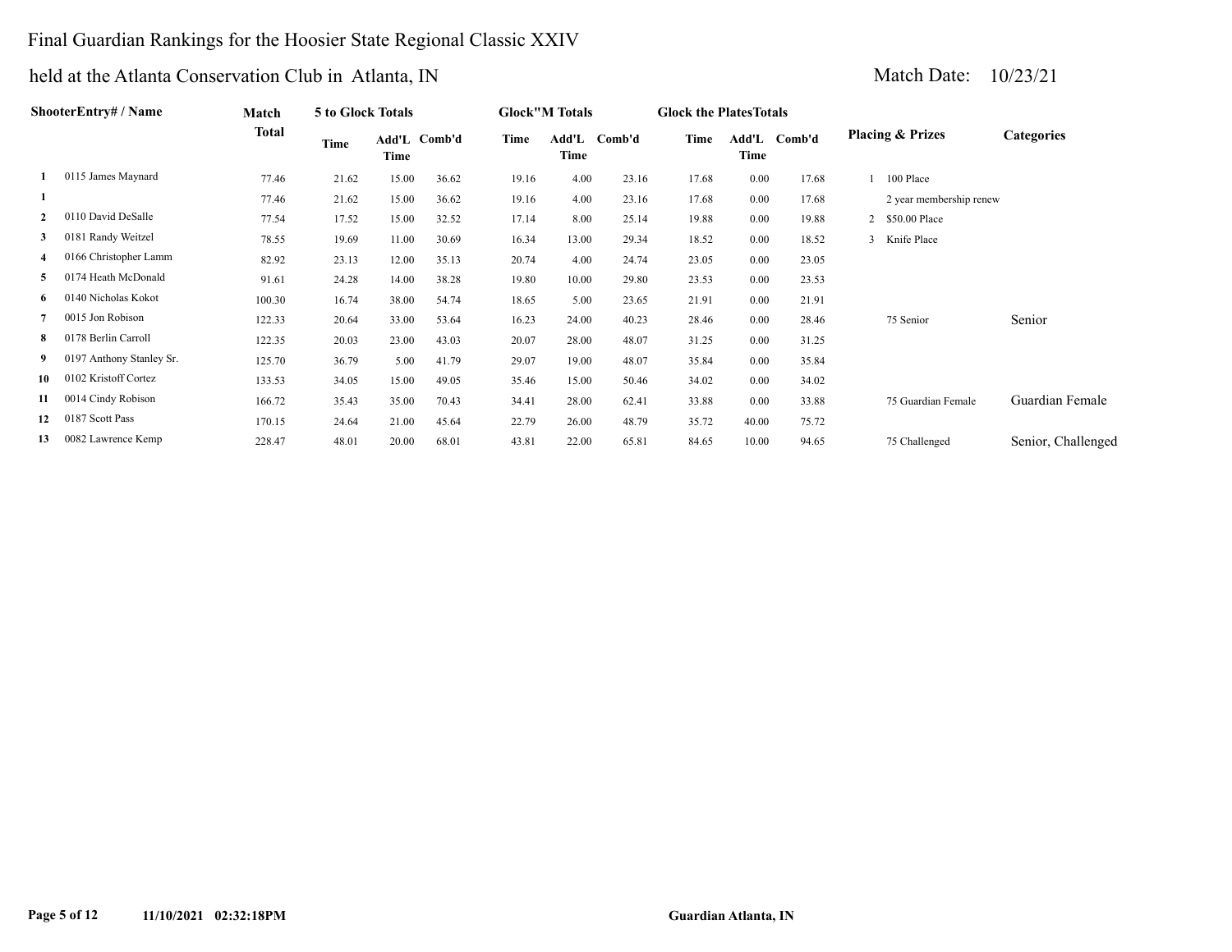## Final Guardian Rankings for the Hoosier State Regional Classic XXIV

|                | ShooterEntry# / Name     | Match  | 5 to Glock Totals |       |              |       | <b>Glock</b> "M Totals |              | <b>Glock the Plates Totals</b> |               |        |                             |                    |
|----------------|--------------------------|--------|-------------------|-------|--------------|-------|------------------------|--------------|--------------------------------|---------------|--------|-----------------------------|--------------------|
|                |                          | Total  | Time              | Time  | Add'L Comb'd | Time  | Time                   | Add'L Comb'd | Time                           | Add'L<br>Time | Comb'd | <b>Placing &amp; Prizes</b> | <b>Categories</b>  |
|                | 0115 James Maynard       | 77.46  | 21.62             | 15.00 | 36.62        | 19.16 | 4.00                   | 23.16        | 17.68                          | 0.00          | 17.68  | 100 Place                   |                    |
|                |                          | 77.46  | 21.62             | 15.00 | 36.62        | 19.16 | 4.00                   | 23.16        | 17.68                          | 0.00          | 17.68  | 2 year membership renew     |                    |
| $\overline{2}$ | 0110 David DeSalle       | 77.54  | 17.52             | 15.00 | 32.52        | 17.14 | 8.00                   | 25.14        | 19.88                          | 0.00          | 19.88  | 2 \$50.00 Place             |                    |
| 3              | 0181 Randy Weitzel       | 78.55  | 19.69             | 11.00 | 30.69        | 16.34 | 13.00                  | 29.34        | 18.52                          | 0.00          | 18.52  | 3 Knife Place               |                    |
| 4              | 0166 Christopher Lamm    | 82.92  | 23.13             | 12.00 | 35.13        | 20.74 | 4.00                   | 24.74        | 23.05                          | 0.00          | 23.05  |                             |                    |
| 5              | 0174 Heath McDonald      | 91.61  | 24.28             | 14.00 | 38.28        | 19.80 | 10.00                  | 29.80        | 23.53                          | 0.00          | 23.53  |                             |                    |
| 6              | 0140 Nicholas Kokot      | 100.30 | 16.74             | 38.00 | 54.74        | 18.65 | 5.00                   | 23.65        | 21.91                          | 0.00          | 21.91  |                             |                    |
|                | 0015 Jon Robison         | 122.33 | 20.64             | 33.00 | 53.64        | 16.23 | 24.00                  | 40.23        | 28.46                          | 0.00          | 28.46  | 75 Senior                   | Senior             |
| 8              | 0178 Berlin Carroll      | 122.35 | 20.03             | 23.00 | 43.03        | 20.07 | 28.00                  | 48.07        | 31.25                          | 0.00          | 31.25  |                             |                    |
| 9              | 0197 Anthony Stanley Sr. | 125.70 | 36.79             | 5.00  | 41.79        | 29.07 | 19.00                  | 48.07        | 35.84                          | $0.00\,$      | 35.84  |                             |                    |
| 10             | 0102 Kristoff Cortez     | 133.53 | 34.05             | 15.00 | 49.05        | 35.46 | 15.00                  | 50.46        | 34.02                          | 0.00          | 34.02  |                             |                    |
| 11             | 0014 Cindy Robison       | 166.72 | 35.43             | 35.00 | 70.43        | 34.41 | 28.00                  | 62.41        | 33.88                          | 0.00          | 33.88  | 75 Guardian Female          | Guardian Female    |
| 12             | 0187 Scott Pass          | 170.15 | 24.64             | 21.00 | 45.64        | 22.79 | 26.00                  | 48.79        | 35.72                          | 40.00         | 75.72  |                             |                    |
| 13             | 0082 Lawrence Kemp       | 228.47 | 48.01             | 20.00 | 68.01        | 43.81 | 22.00                  | 65.81        | 84.65                          | 10.00         | 94.65  | 75 Challenged               | Senior, Challenged |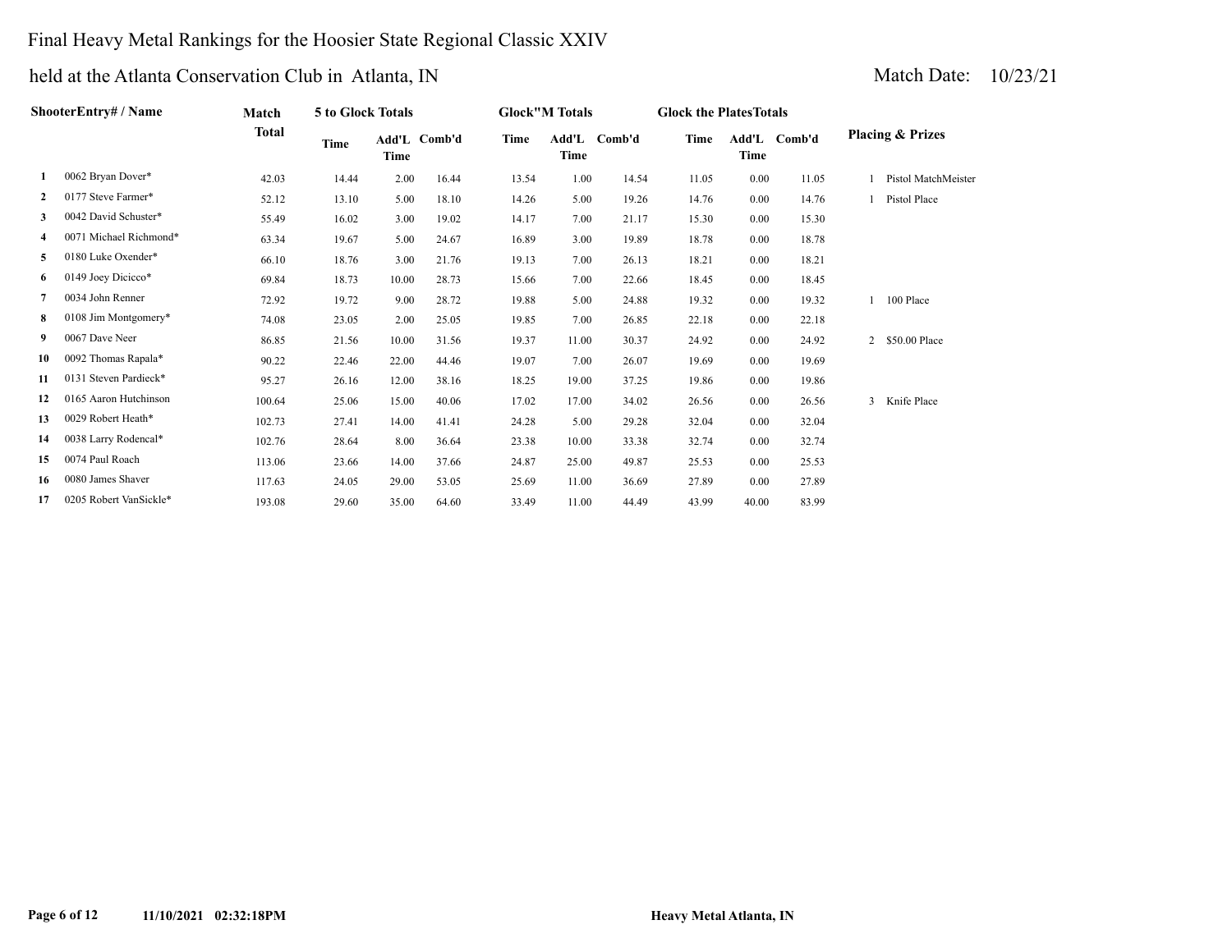## Final Heavy Metal Rankings for the Hoosier State Regional Classic XXIV

|              | ShooterEntry# / Name   | Match  | <b>5 to Glock Totals</b> |       |              |       | <b>Glock"M Totals</b> |              | <b>Glock the Plates Totals</b> |       |              |                |                             |
|--------------|------------------------|--------|--------------------------|-------|--------------|-------|-----------------------|--------------|--------------------------------|-------|--------------|----------------|-----------------------------|
|              |                        | Total  | Time                     | Time  | Add'L Comb'd | Time  | Time                  | Add'L Comb'd | Time                           | Time  | Add'L Comb'd |                | <b>Placing &amp; Prizes</b> |
| 1            | 0062 Bryan Dover*      | 42.03  | 14.44                    | 2.00  | 16.44        | 13.54 | 1.00                  | 14.54        | 11.05                          | 0.00  | 11.05        |                | Pistol MatchMeister         |
| $\mathbf{2}$ | 0177 Steve Farmer*     | 52.12  | 13.10                    | 5.00  | 18.10        | 14.26 | 5.00                  | 19.26        | 14.76                          | 0.00  | 14.76        |                | 1 Pistol Place              |
| 3            | 0042 David Schuster*   | 55.49  | 16.02                    | 3.00  | 19.02        | 14.17 | 7.00                  | 21.17        | 15.30                          | 0.00  | 15.30        |                |                             |
| 4            | 0071 Michael Richmond* | 63.34  | 19.67                    | 5.00  | 24.67        | 16.89 | 3.00                  | 19.89        | 18.78                          | 0.00  | 18.78        |                |                             |
| 5            | 0180 Luke Oxender*     | 66.10  | 18.76                    | 3.00  | 21.76        | 19.13 | 7.00                  | 26.13        | 18.21                          | 0.00  | 18.21        |                |                             |
| 6            | 0149 Joey Dicicco*     | 69.84  | 18.73                    | 10.00 | 28.73        | 15.66 | 7.00                  | 22.66        | 18.45                          | 0.00  | 18.45        |                |                             |
| 7            | 0034 John Renner       | 72.92  | 19.72                    | 9.00  | 28.72        | 19.88 | 5.00                  | 24.88        | 19.32                          | 0.00  | 19.32        |                | 100 Place                   |
| 8            | 0108 Jim Montgomery*   | 74.08  | 23.05                    | 2.00  | 25.05        | 19.85 | 7.00                  | 26.85        | 22.18                          | 0.00  | 22.18        |                |                             |
| 9.           | 0067 Dave Neer         | 86.85  | 21.56                    | 10.00 | 31.56        | 19.37 | 11.00                 | 30.37        | 24.92                          | 0.00  | 24.92        | $\overline{2}$ | \$50.00 Place               |
| 10           | 0092 Thomas Rapala*    | 90.22  | 22.46                    | 22.00 | 44.46        | 19.07 | 7.00                  | 26.07        | 19.69                          | 0.00  | 19.69        |                |                             |
| 11           | 0131 Steven Pardieck*  | 95.27  | 26.16                    | 12.00 | 38.16        | 18.25 | 19.00                 | 37.25        | 19.86                          | 0.00  | 19.86        |                |                             |
| 12           | 0165 Aaron Hutchinson  | 100.64 | 25.06                    | 15.00 | 40.06        | 17.02 | 17.00                 | 34.02        | 26.56                          | 0.00  | 26.56        | 3              | Knife Place                 |
| 13           | 0029 Robert Heath*     | 102.73 | 27.41                    | 14.00 | 41.41        | 24.28 | 5.00                  | 29.28        | 32.04                          | 0.00  | 32.04        |                |                             |
| 14           | 0038 Larry Rodencal*   | 102.76 | 28.64                    | 8.00  | 36.64        | 23.38 | 10.00                 | 33.38        | 32.74                          | 0.00  | 32.74        |                |                             |
| 15           | 0074 Paul Roach        | 113.06 | 23.66                    | 14.00 | 37.66        | 24.87 | 25.00                 | 49.87        | 25.53                          | 0.00  | 25.53        |                |                             |
| 16           | 0080 James Shaver      | 117.63 | 24.05                    | 29.00 | 53.05        | 25.69 | 11.00                 | 36.69        | 27.89                          | 0.00  | 27.89        |                |                             |
| 17           | 0205 Robert VanSickle* | 193.08 | 29.60                    | 35.00 | 64.60        | 33.49 | 11.00                 | 44.49        | 43.99                          | 40.00 | 83.99        |                |                             |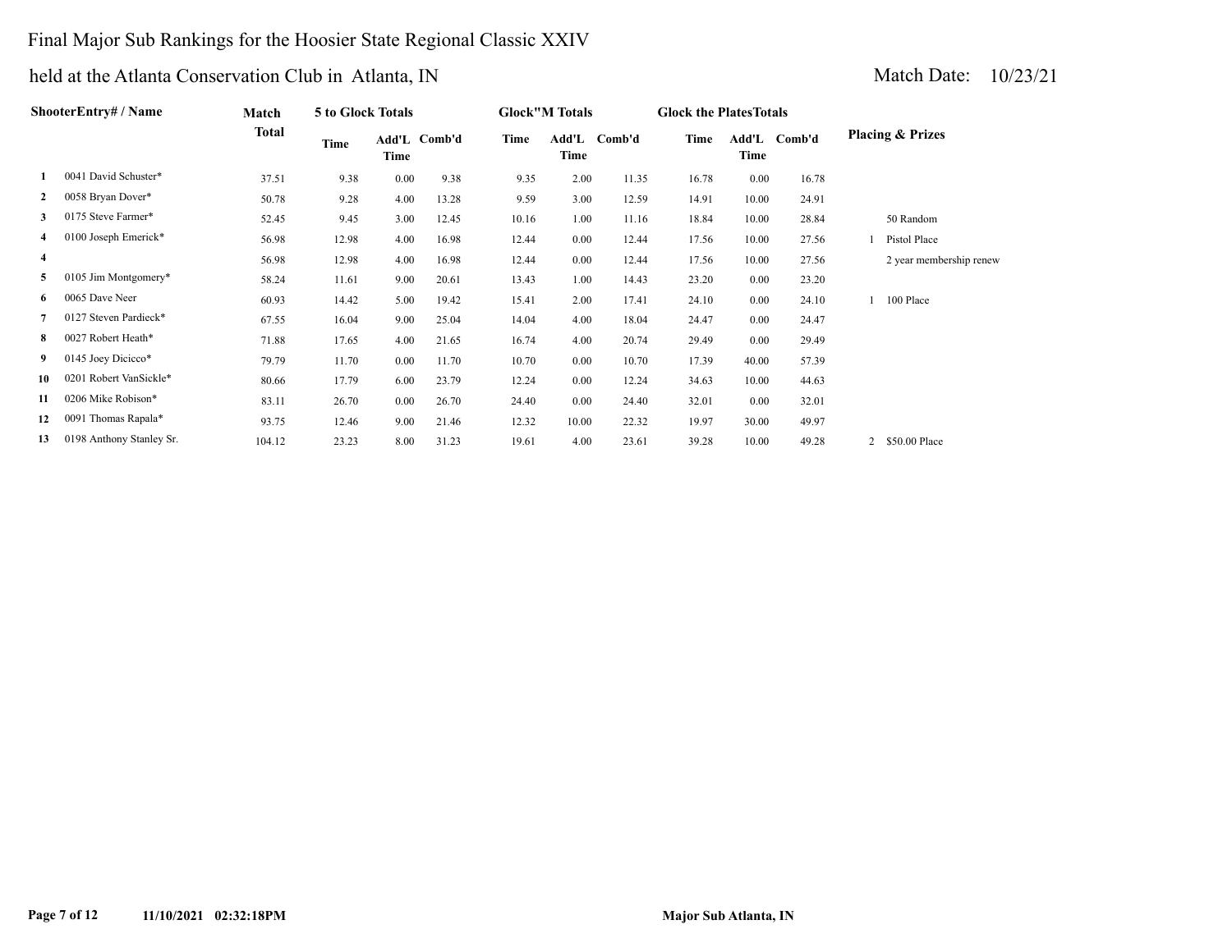## Final Major Sub Rankings for the Hoosier State Regional Classic XXIV

|              | ShooterEntry# / Name     | Match  | 5 to Glock Totals |                      |       |       | <b>Glock"M Totals</b> |       | <b>Glock the Plates Totals</b> |       |              |                             |
|--------------|--------------------------|--------|-------------------|----------------------|-------|-------|-----------------------|-------|--------------------------------|-------|--------------|-----------------------------|
|              |                          | Total  | Time              | Add'L Comb'd<br>Time |       | Time  | Add'L Comb'd<br>Time  |       | Time                           | Time  | Add'L Comb'd | <b>Placing &amp; Prizes</b> |
|              | 0041 David Schuster*     | 37.51  | 9.38              | 0.00                 | 9.38  | 9.35  | 2.00                  | 11.35 | 16.78                          | 0.00  | 16.78        |                             |
| $\mathbf{2}$ | 0058 Bryan Dover*        | 50.78  | 9.28              | 4.00                 | 13.28 | 9.59  | 3.00                  | 12.59 | 14.91                          | 10.00 | 24.91        |                             |
| 3            | 0175 Steve Farmer*       | 52.45  | 9.45              | 3.00                 | 12.45 | 10.16 | 1.00                  | 11.16 | 18.84                          | 10.00 | 28.84        | 50 Random                   |
| 4            | 0100 Joseph Emerick*     | 56.98  | 12.98             | 4.00                 | 16.98 | 12.44 | $0.00\,$              | 12.44 | 17.56                          | 10.00 | 27.56        | Pistol Place                |
| 4            |                          | 56.98  | 12.98             | 4.00                 | 16.98 | 12.44 | $0.00\,$              | 12.44 | 17.56                          | 10.00 | 27.56        | 2 year membership renew     |
| 5            | 0105 Jim Montgomery*     | 58.24  | 11.61             | 9.00                 | 20.61 | 13.43 | 1.00                  | 14.43 | 23.20                          | 0.00  | 23.20        |                             |
| 6            | 0065 Dave Neer           | 60.93  | 14.42             | 5.00                 | 19.42 | 15.41 | 2.00                  | 17.41 | 24.10                          | 0.00  | 24.10        | 100 Place                   |
|              | 0127 Steven Pardieck*    | 67.55  | 16.04             | 9.00                 | 25.04 | 14.04 | 4.00                  | 18.04 | 24.47                          | 0.00  | 24.47        |                             |
| 8            | 0027 Robert Heath*       | 71.88  | 17.65             | 4.00                 | 21.65 | 16.74 | 4.00                  | 20.74 | 29.49                          | 0.00  | 29.49        |                             |
| 9            | 0145 Joey Dicicco*       | 79.79  | 11.70             | $0.00\,$             | 11.70 | 10.70 | $0.00\,$              | 10.70 | 17.39                          | 40.00 | 57.39        |                             |
| 10           | 0201 Robert VanSickle*   | 80.66  | 17.79             | 6.00                 | 23.79 | 12.24 | 0.00                  | 12.24 | 34.63                          | 10.00 | 44.63        |                             |
| 11           | 0206 Mike Robison*       | 83.11  | 26.70             | 0.00                 | 26.70 | 24.40 | $0.00\,$              | 24.40 | 32.01                          | 0.00  | 32.01        |                             |
| 12           | 0091 Thomas Rapala*      | 93.75  | 12.46             | 9.00                 | 21.46 | 12.32 | 10.00                 | 22.32 | 19.97                          | 30.00 | 49.97        |                             |
| 13           | 0198 Anthony Stanley Sr. | 104.12 | 23.23             | 8.00                 | 31.23 | 19.61 | 4.00                  | 23.61 | 39.28                          | 10.00 | 49.28        | 2 \$50.00 Place             |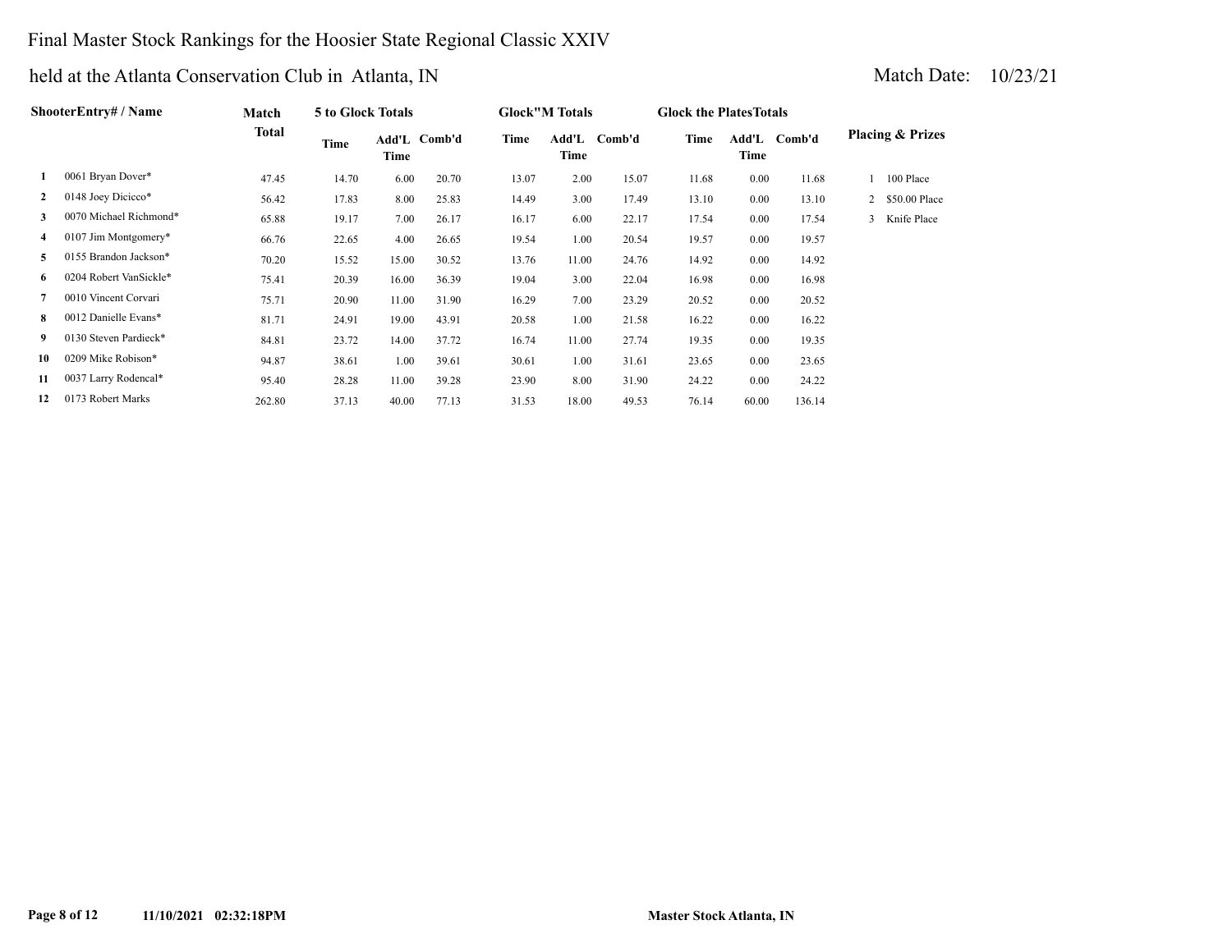### Final Master Stock Rankings for the Hoosier State Regional Classic XXIV

| ShooterEntrv# / Name |                        | Match  | 5 to Glock Totals |       |              |       | <b>Glock"M Totals</b>   |       |       | <b>Glock the Plates Totals</b> |        |                             |               |
|----------------------|------------------------|--------|-------------------|-------|--------------|-------|-------------------------|-------|-------|--------------------------------|--------|-----------------------------|---------------|
|                      |                        | Total  | Time              | Time  | Add'L Comb'd | Time  | Add'L<br>Comb'd<br>Time |       | Time  | Add'L<br>Comb'd<br>Time        |        | <b>Placing &amp; Prizes</b> |               |
| 1                    | 0061 Bryan Dover*      | 47.45  | 14.70             | 6.00  | 20.70        | 13.07 | 2.00                    | 15.07 | 11.68 | 0.00                           | 11.68  |                             | 100 Place     |
| $\mathbf{2}$         | 0148 Joey Dicicco*     | 56.42  | 17.83             | 8.00  | 25.83        | 14.49 | 3.00                    | 17.49 | 13.10 | 0.00                           | 13.10  | 2                           | \$50.00 Place |
| 3                    | 0070 Michael Richmond* | 65.88  | 19.17             | 7.00  | 26.17        | 16.17 | 6.00                    | 22.17 | 17.54 | 0.00                           | 17.54  |                             | 3 Knife Place |
| 4                    | 0107 Jim Montgomery*   | 66.76  | 22.65             | 4.00  | 26.65        | 19.54 | 1.00                    | 20.54 | 19.57 | 0.00                           | 19.57  |                             |               |
| 5                    | 0155 Brandon Jackson*  | 70.20  | 15.52             | 15.00 | 30.52        | 13.76 | 11.00                   | 24.76 | 14.92 | 0.00                           | 14.92  |                             |               |
| 6                    | 0204 Robert VanSickle* | 75.41  | 20.39             | 16.00 | 36.39        | 19.04 | 3.00                    | 22.04 | 16.98 | 0.00                           | 16.98  |                             |               |
| 7                    | 0010 Vincent Corvari   | 75.71  | 20.90             | 11.00 | 31.90        | 16.29 | 7.00                    | 23.29 | 20.52 | 0.00                           | 20.52  |                             |               |
| 8                    | 0012 Danielle Evans*   | 81.71  | 24.91             | 19.00 | 43.91        | 20.58 | 1.00                    | 21.58 | 16.22 | 0.00                           | 16.22  |                             |               |
| 9                    | 0130 Steven Pardieck*  | 84.81  | 23.72             | 14.00 | 37.72        | 16.74 | 11.00                   | 27.74 | 19.35 | 0.00                           | 19.35  |                             |               |
| 10                   | 0209 Mike Robison*     | 94.87  | 38.61             | 1.00  | 39.61        | 30.61 | 1.00                    | 31.61 | 23.65 | 0.00                           | 23.65  |                             |               |
| 11                   | 0037 Larry Rodencal*   | 95.40  | 28.28             | 11.00 | 39.28        | 23.90 | 8.00                    | 31.90 | 24.22 | 0.00                           | 24.22  |                             |               |
| 12                   | 0173 Robert Marks      | 262.80 | 37.13             | 40.00 | 77.13        | 31.53 | 18.00                   | 49.53 | 76.14 | 60.00                          | 136.14 |                             |               |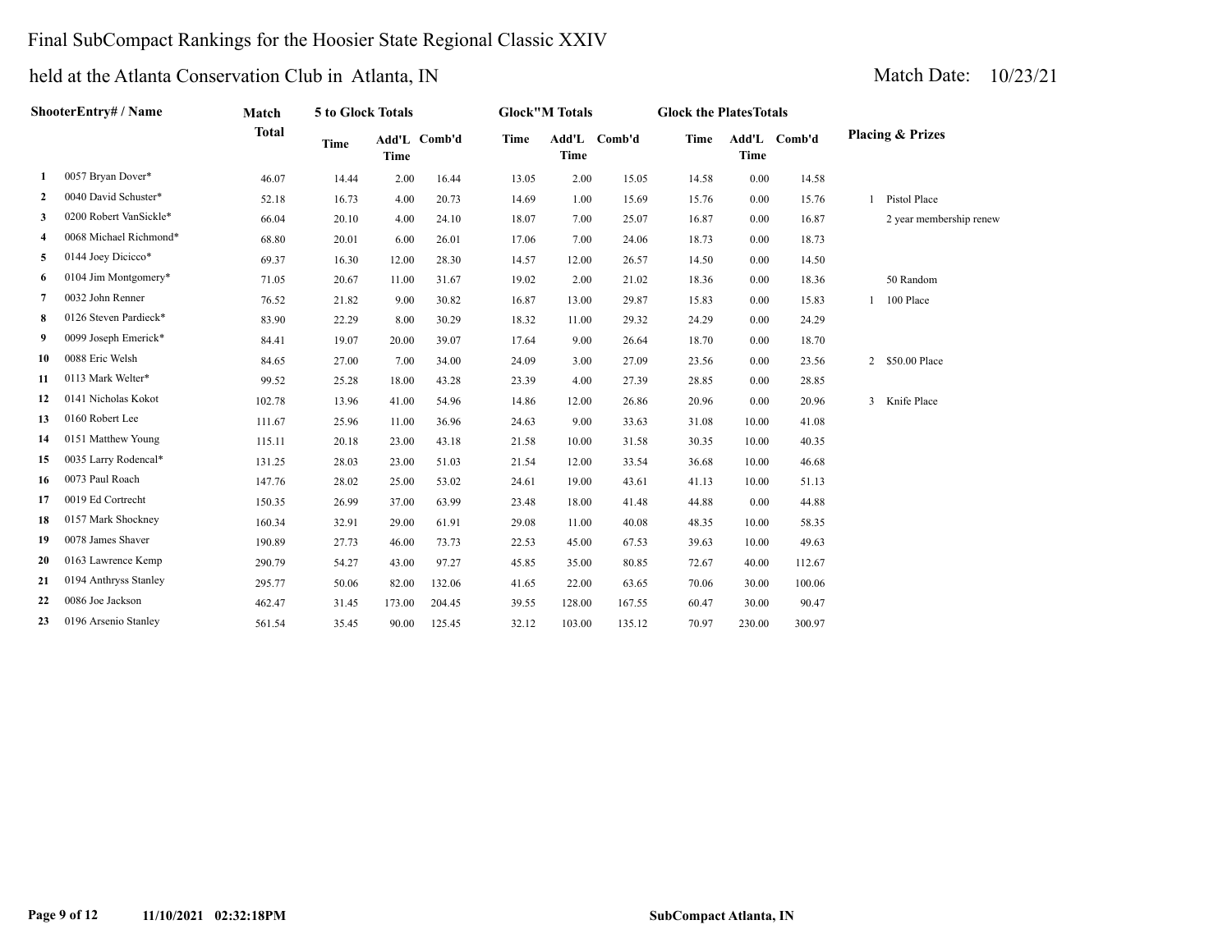## Final SubCompact Rankings for the Hoosier State Regional Classic XXIV

| ShooterEntry# / Name |                        | Match        | 5 to Glock Totals |             |              | <b>Glock</b> "M Totals |             |              | <b>Glock the Plates Totals</b> |             |              |                             |  |  |
|----------------------|------------------------|--------------|-------------------|-------------|--------------|------------------------|-------------|--------------|--------------------------------|-------------|--------------|-----------------------------|--|--|
|                      |                        | <b>Total</b> | <b>Time</b>       | <b>Time</b> | Add'L Comb'd | Time                   | <b>Time</b> | Add'L Comb'd | Time                           | <b>Time</b> | Add'L Comb'd | <b>Placing &amp; Prizes</b> |  |  |
| -1                   | 0057 Bryan Dover*      | 46.07        | 14.44             | 2.00        | 16.44        | 13.05                  | 2.00        | 15.05        | 14.58                          | 0.00        | 14.58        |                             |  |  |
| 2                    | 0040 David Schuster*   | 52.18        | 16.73             | 4.00        | 20.73        | 14.69                  | 1.00        | 15.69        | 15.76                          | 0.00        | 15.76        | Pistol Place                |  |  |
| 3                    | 0200 Robert VanSickle* | 66.04        | 20.10             | 4.00        | 24.10        | 18.07                  | 7.00        | 25.07        | 16.87                          | 0.00        | 16.87        | 2 year membership renew     |  |  |
| 4                    | 0068 Michael Richmond* | 68.80        | 20.01             | 6.00        | 26.01        | 17.06                  | 7.00        | 24.06        | 18.73                          | 0.00        | 18.73        |                             |  |  |
| 5                    | 0144 Joey Dicicco*     | 69.37        | 16.30             | 12.00       | 28.30        | 14.57                  | 12.00       | 26.57        | 14.50                          | 0.00        | 14.50        |                             |  |  |
| 6                    | 0104 Jim Montgomery*   | 71.05        | 20.67             | 11.00       | 31.67        | 19.02                  | 2.00        | 21.02        | 18.36                          | 0.00        | 18.36        | 50 Random                   |  |  |
| 7                    | 0032 John Renner       | 76.52        | 21.82             | 9.00        | 30.82        | 16.87                  | 13.00       | 29.87        | 15.83                          | 0.00        | 15.83        | 100 Place                   |  |  |
| 8                    | 0126 Steven Pardieck*  | 83.90        | 22.29             | 8.00        | 30.29        | 18.32                  | 11.00       | 29.32        | 24.29                          | 0.00        | 24.29        |                             |  |  |
| 9                    | 0099 Joseph Emerick*   | 84.41        | 19.07             | 20.00       | 39.07        | 17.64                  | 9.00        | 26.64        | 18.70                          | 0.00        | 18.70        |                             |  |  |
| 10                   | 0088 Eric Welsh        | 84.65        | 27.00             | 7.00        | 34.00        | 24.09                  | 3.00        | 27.09        | 23.56                          | 0.00        | 23.56        | 2 \$50.00 Place             |  |  |
| 11                   | 0113 Mark Welter*      | 99.52        | 25.28             | 18.00       | 43.28        | 23.39                  | 4.00        | 27.39        | 28.85                          | 0.00        | 28.85        |                             |  |  |
| 12                   | 0141 Nicholas Kokot    | 102.78       | 13.96             | 41.00       | 54.96        | 14.86                  | 12.00       | 26.86        | 20.96                          | 0.00        | 20.96        | 3 Knife Place               |  |  |
| 13                   | 0160 Robert Lee        | 111.67       | 25.96             | 11.00       | 36.96        | 24.63                  | 9.00        | 33.63        | 31.08                          | 10.00       | 41.08        |                             |  |  |
| 14                   | 0151 Matthew Young     | 115.11       | 20.18             | 23.00       | 43.18        | 21.58                  | 10.00       | 31.58        | 30.35                          | 10.00       | 40.35        |                             |  |  |
| 15                   | 0035 Larry Rodencal*   | 131.25       | 28.03             | 23.00       | 51.03        | 21.54                  | 12.00       | 33.54        | 36.68                          | 10.00       | 46.68        |                             |  |  |
| 16                   | 0073 Paul Roach        | 147.76       | 28.02             | 25.00       | 53.02        | 24.61                  | 19.00       | 43.61        | 41.13                          | 10.00       | 51.13        |                             |  |  |
| 17                   | 0019 Ed Cortrecht      | 150.35       | 26.99             | 37.00       | 63.99        | 23.48                  | 18.00       | 41.48        | 44.88                          | 0.00        | 44.88        |                             |  |  |
| 18                   | 0157 Mark Shockney     | 160.34       | 32.91             | 29.00       | 61.91        | 29.08                  | 11.00       | 40.08        | 48.35                          | 10.00       | 58.35        |                             |  |  |
| 19                   | 0078 James Shaver      | 190.89       | 27.73             | 46.00       | 73.73        | 22.53                  | 45.00       | 67.53        | 39.63                          | 10.00       | 49.63        |                             |  |  |
| 20                   | 0163 Lawrence Kemp     | 290.79       | 54.27             | 43.00       | 97.27        | 45.85                  | 35.00       | 80.85        | 72.67                          | 40.00       | 112.67       |                             |  |  |
| 21                   | 0194 Anthryss Stanley  | 295.77       | 50.06             | 82.00       | 132.06       | 41.65                  | 22.00       | 63.65        | 70.06                          | 30.00       | 100.06       |                             |  |  |
| 22                   | 0086 Joe Jackson       | 462.47       | 31.45             | 173.00      | 204.45       | 39.55                  | 128.00      | 167.55       | 60.47                          | 30.00       | 90.47        |                             |  |  |
| 23                   | 0196 Arsenio Stanley   | 561.54       | 35.45             | 90.00       | 125.45       | 32.12                  | 103.00      | 135.12       | 70.97                          | 230.00      | 300.97       |                             |  |  |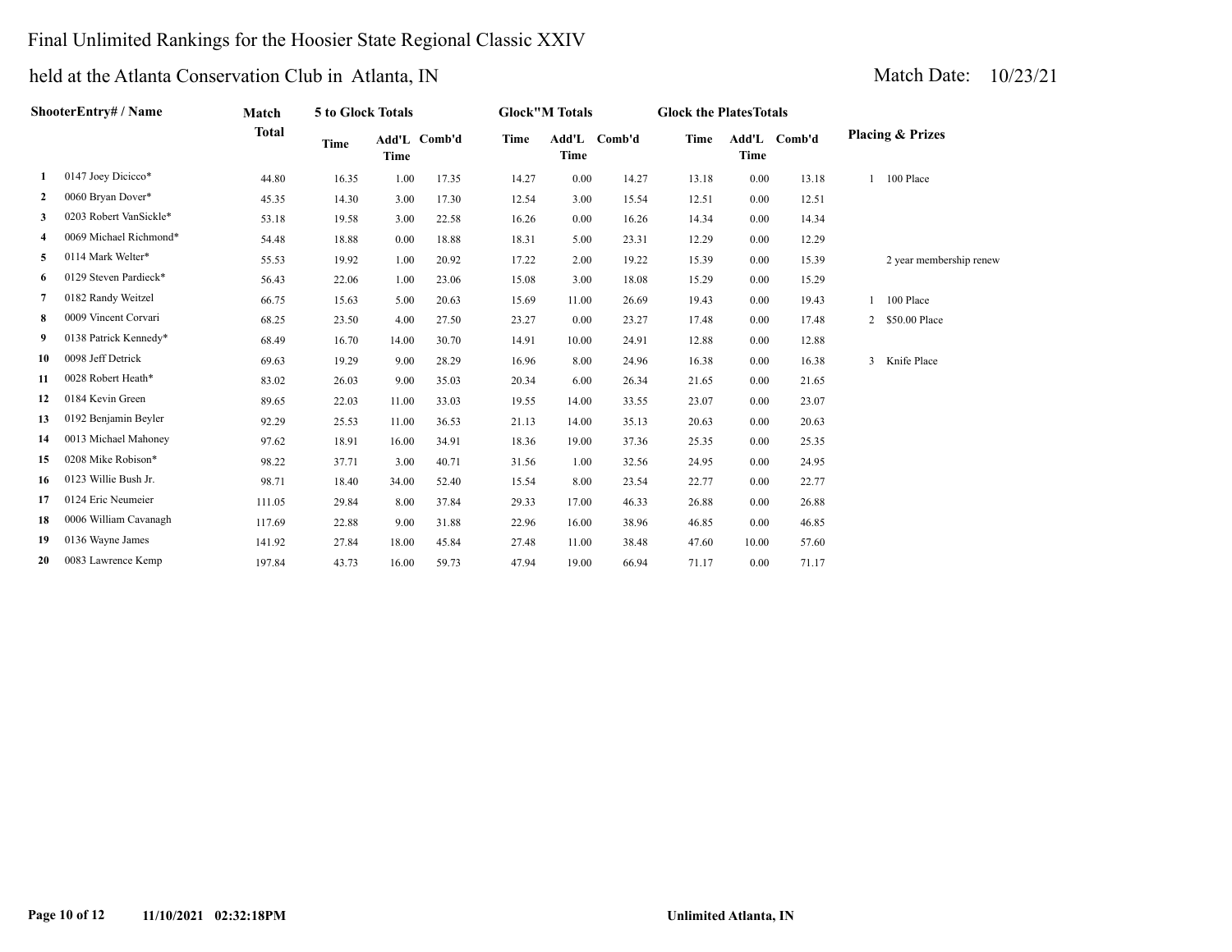### Final Unlimited Rankings for the Hoosier State Regional Classic XXIV

## held at the Atlanta Conservation Club in Atlanta, IN Match Date: 10/23/21

| ShooterEntry# / Name |                        | Match        | 5 to Glock Totals |             | <b>Glock</b> "M Totals |       |             | <b>Glock the PlatesTotals</b> |       |       |              |                             |  |  |
|----------------------|------------------------|--------------|-------------------|-------------|------------------------|-------|-------------|-------------------------------|-------|-------|--------------|-----------------------------|--|--|
|                      |                        | <b>Total</b> | Time              | <b>Time</b> | Add'L Comb'd           | Time  | <b>Time</b> | Add'L Comb'd                  | Time  | Time  | Add'L Comb'd | <b>Placing &amp; Prizes</b> |  |  |
| 1                    | 0147 Joey Dicicco*     | 44.80        | 16.35             | 1.00        | 17.35                  | 14.27 | 0.00        | 14.27                         | 13.18 | 0.00  | 13.18        | 100 Place                   |  |  |
| 2                    | 0060 Bryan Dover*      | 45.35        | 14.30             | 3.00        | 17.30                  | 12.54 | 3.00        | 15.54                         | 12.51 | 0.00  | 12.51        |                             |  |  |
| 3                    | 0203 Robert VanSickle* | 53.18        | 19.58             | 3.00        | 22.58                  | 16.26 | 0.00        | 16.26                         | 14.34 | 0.00  | 14.34        |                             |  |  |
| 4                    | 0069 Michael Richmond* | 54.48        | 18.88             | 0.00        | 18.88                  | 18.31 | 5.00        | 23.31                         | 12.29 | 0.00  | 12.29        |                             |  |  |
| 5                    | 0114 Mark Welter*      | 55.53        | 19.92             | 1.00        | 20.92                  | 17.22 | 2.00        | 19.22                         | 15.39 | 0.00  | 15.39        | 2 year membership renew     |  |  |
| 6                    | 0129 Steven Pardieck*  | 56.43        | 22.06             | 1.00        | 23.06                  | 15.08 | 3.00        | 18.08                         | 15.29 | 0.00  | 15.29        |                             |  |  |
| 7                    | 0182 Randy Weitzel     | 66.75        | 15.63             | 5.00        | 20.63                  | 15.69 | 11.00       | 26.69                         | 19.43 | 0.00  | 19.43        | 1 100 Place                 |  |  |
| 8                    | 0009 Vincent Corvari   | 68.25        | 23.50             | 4.00        | 27.50                  | 23.27 | 0.00        | 23.27                         | 17.48 | 0.00  | 17.48        | 2 \$50.00 Place             |  |  |
| 9                    | 0138 Patrick Kennedy*  | 68.49        | 16.70             | 14.00       | 30.70                  | 14.91 | 10.00       | 24.91                         | 12.88 | 0.00  | 12.88        |                             |  |  |
| 10                   | 0098 Jeff Detrick      | 69.63        | 19.29             | 9.00        | 28.29                  | 16.96 | 8.00        | 24.96                         | 16.38 | 0.00  | 16.38        | 3 Knife Place               |  |  |
| 11                   | 0028 Robert Heath*     | 83.02        | 26.03             | 9.00        | 35.03                  | 20.34 | 6.00        | 26.34                         | 21.65 | 0.00  | 21.65        |                             |  |  |
| 12                   | 0184 Kevin Green       | 89.65        | 22.03             | 11.00       | 33.03                  | 19.55 | 14.00       | 33.55                         | 23.07 | 0.00  | 23.07        |                             |  |  |
| 13                   | 0192 Benjamin Beyler   | 92.29        | 25.53             | 11.00       | 36.53                  | 21.13 | 14.00       | 35.13                         | 20.63 | 0.00  | 20.63        |                             |  |  |
| 14                   | 0013 Michael Mahoney   | 97.62        | 18.91             | 16.00       | 34.91                  | 18.36 | 19.00       | 37.36                         | 25.35 | 0.00  | 25.35        |                             |  |  |
| 15                   | 0208 Mike Robison*     | 98.22        | 37.71             | 3.00        | 40.71                  | 31.56 | 1.00        | 32.56                         | 24.95 | 0.00  | 24.95        |                             |  |  |
| 16                   | 0123 Willie Bush Jr.   | 98.71        | 18.40             | 34.00       | 52.40                  | 15.54 | 8.00        | 23.54                         | 22.77 | 0.00  | 22.77        |                             |  |  |
| 17                   | 0124 Eric Neumeier     | 111.05       | 29.84             | 8.00        | 37.84                  | 29.33 | 17.00       | 46.33                         | 26.88 | 0.00  | 26.88        |                             |  |  |
| 18                   | 0006 William Cavanagh  | 117.69       | 22.88             | 9.00        | 31.88                  | 22.96 | 16.00       | 38.96                         | 46.85 | 0.00  | 46.85        |                             |  |  |
| 19                   | 0136 Wayne James       | 141.92       | 27.84             | 18.00       | 45.84                  | 27.48 | 11.00       | 38.48                         | 47.60 | 10.00 | 57.60        |                             |  |  |

 **20** 0083 Lawrence Kemp 197.84 43.73 16.00 59.73 47.94 19.00 66.94 71.17 0.00 71.17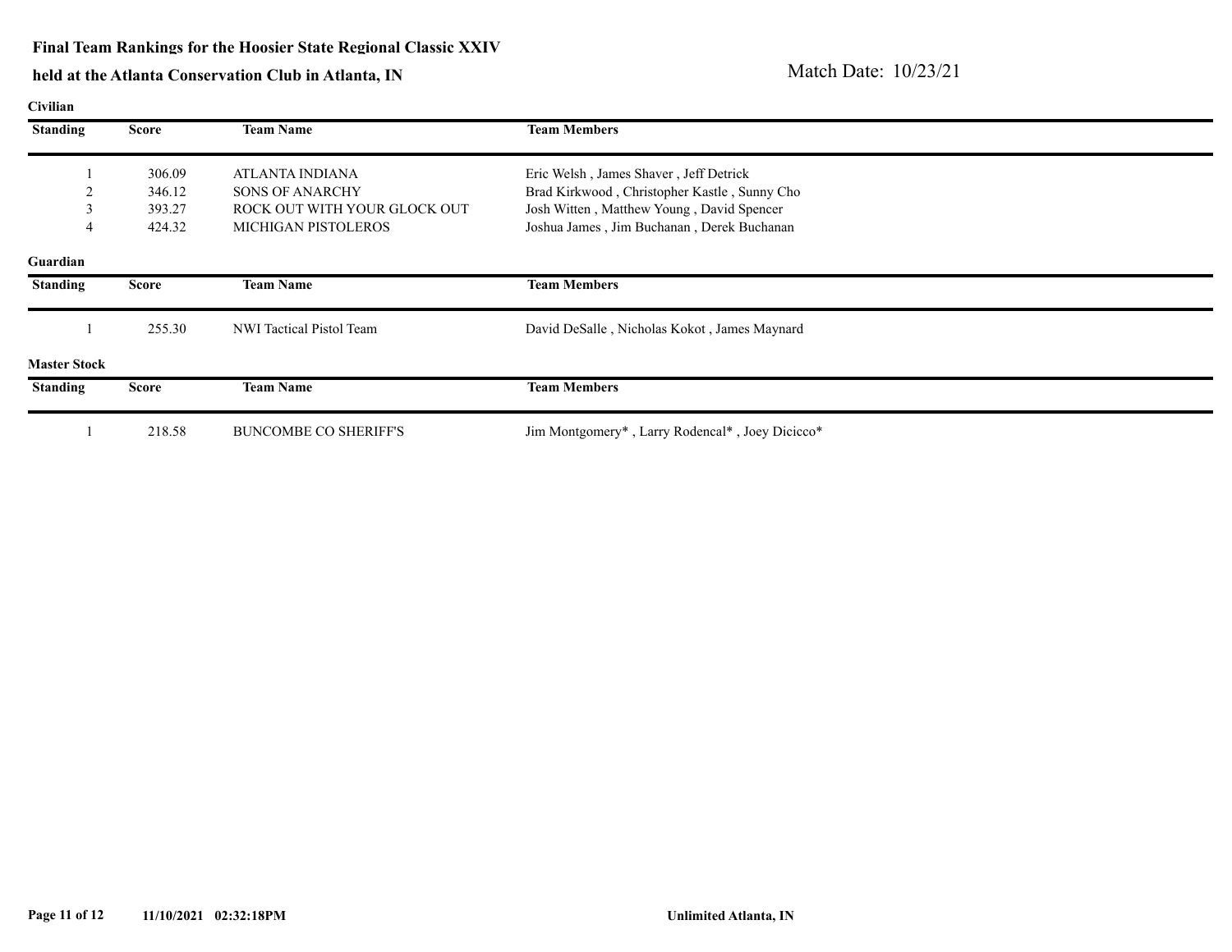### **Final Team Rankings for the Hoosier State Regional Classic XXIV**

| <b>Civilian</b>     |              |                              |                                                 |
|---------------------|--------------|------------------------------|-------------------------------------------------|
| <b>Standing</b>     | <b>Score</b> | <b>Team Name</b>             | <b>Team Members</b>                             |
|                     | 306.09       | ATLANTA INDIANA              | Eric Welsh, James Shaver, Jeff Detrick          |
|                     | 346.12       | <b>SONS OF ANARCHY</b>       | Brad Kirkwood, Christopher Kastle, Sunny Cho    |
|                     | 393.27       | ROCK OUT WITH YOUR GLOCK OUT | Josh Witten, Matthew Young, David Spencer       |
| 4                   | 424.32       | <b>MICHIGAN PISTOLEROS</b>   | Joshua James, Jim Buchanan, Derek Buchanan      |
| Guardian            |              |                              |                                                 |
| <b>Standing</b>     | <b>Score</b> | <b>Team Name</b>             | <b>Team Members</b>                             |
|                     | 255.30       | NWI Tactical Pistol Team     | David DeSalle, Nicholas Kokot, James Maynard    |
| <b>Master Stock</b> |              |                              |                                                 |
| <b>Standing</b>     | <b>Score</b> | <b>Team Name</b>             | <b>Team Members</b>                             |
|                     | 218.58       | <b>BUNCOMBE CO SHERIFF'S</b> | Jim Montgomery*, Larry Rodencal*, Joey Dicicco* |